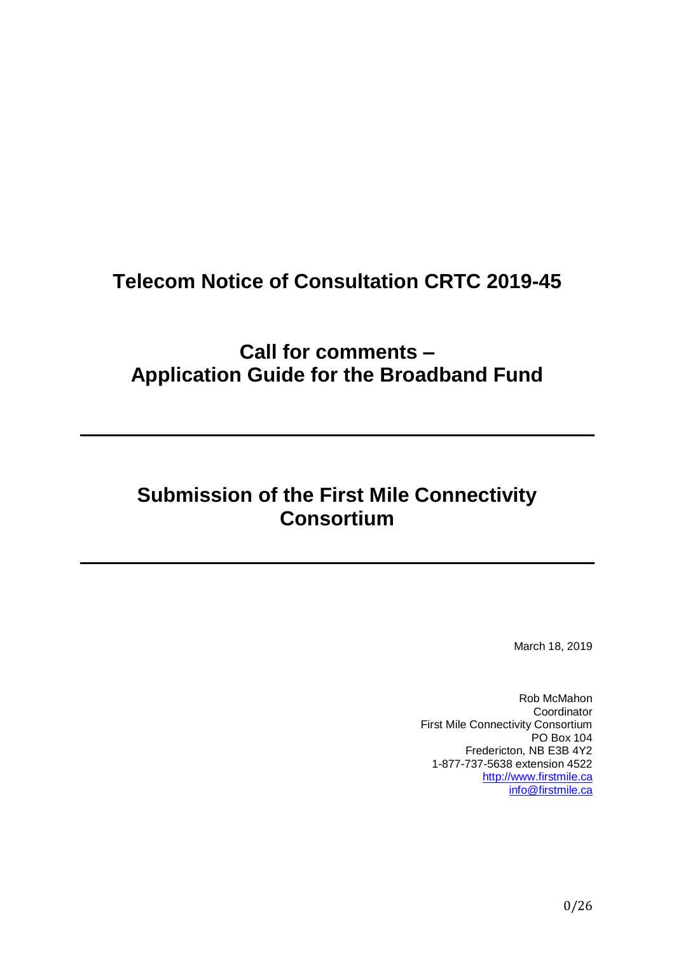# **Telecom Notice of Consultation CRTC 2019-45**

**Call for comments – Application Guide for the Broadband Fund**

# **Submission of the First Mile Connectivity Consortium**

March 18, 2019

Rob McMahon Coordinator First Mile Connectivity Consortium PO Box 104 Fredericton, NB E3B 4Y2 1-877-737-5638 extension 4522 [http://www.firstmile.ca](http://www.firstmile.ca/) [info@firstmile.ca](mailto:info@firstmile.ca)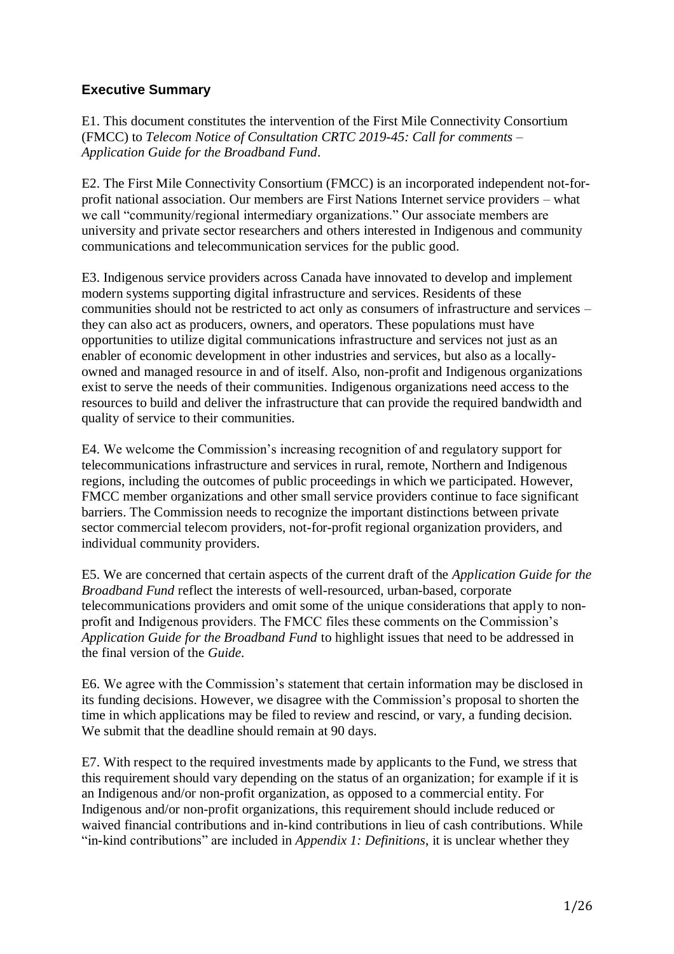# **Executive Summary**

E1. This document constitutes the intervention of the First Mile Connectivity Consortium (FMCC) to *Telecom Notice of Consultation CRTC 2019-45: Call for comments – Application Guide for the Broadband Fund*.

E2. The First Mile Connectivity Consortium (FMCC) is an incorporated independent not-forprofit national association. Our members are First Nations Internet service providers – what we call "community/regional intermediary organizations." Our associate members are university and private sector researchers and others interested in Indigenous and community communications and telecommunication services for the public good.

E3. Indigenous service providers across Canada have innovated to develop and implement modern systems supporting digital infrastructure and services. Residents of these communities should not be restricted to act only as consumers of infrastructure and services – they can also act as producers, owners, and operators. These populations must have opportunities to utilize digital communications infrastructure and services not just as an enabler of economic development in other industries and services, but also as a locallyowned and managed resource in and of itself. Also, non-profit and Indigenous organizations exist to serve the needs of their communities. Indigenous organizations need access to the resources to build and deliver the infrastructure that can provide the required bandwidth and quality of service to their communities.

E4. We welcome the Commission's increasing recognition of and regulatory support for telecommunications infrastructure and services in rural, remote, Northern and Indigenous regions, including the outcomes of public proceedings in which we participated. However, FMCC member organizations and other small service providers continue to face significant barriers. The Commission needs to recognize the important distinctions between private sector commercial telecom providers, not-for-profit regional organization providers, and individual community providers.

E5. We are concerned that certain aspects of the current draft of the *Application Guide for the Broadband Fund* reflect the interests of well-resourced, urban-based, corporate telecommunications providers and omit some of the unique considerations that apply to nonprofit and Indigenous providers. The FMCC files these comments on the Commission's *Application Guide for the Broadband Fund* to highlight issues that need to be addressed in the final version of the *Guide*.

E6. We agree with the Commission's statement that certain information may be disclosed in its funding decisions. However, we disagree with the Commission's proposal to shorten the time in which applications may be filed to review and rescind, or vary, a funding decision. We submit that the deadline should remain at 90 days.

E7. With respect to the required investments made by applicants to the Fund, we stress that this requirement should vary depending on the status of an organization; for example if it is an Indigenous and/or non-profit organization, as opposed to a commercial entity. For Indigenous and/or non-profit organizations, this requirement should include reduced or waived financial contributions and in-kind contributions in lieu of cash contributions. While "in-kind contributions" are included in *Appendix 1: Definitions*, it is unclear whether they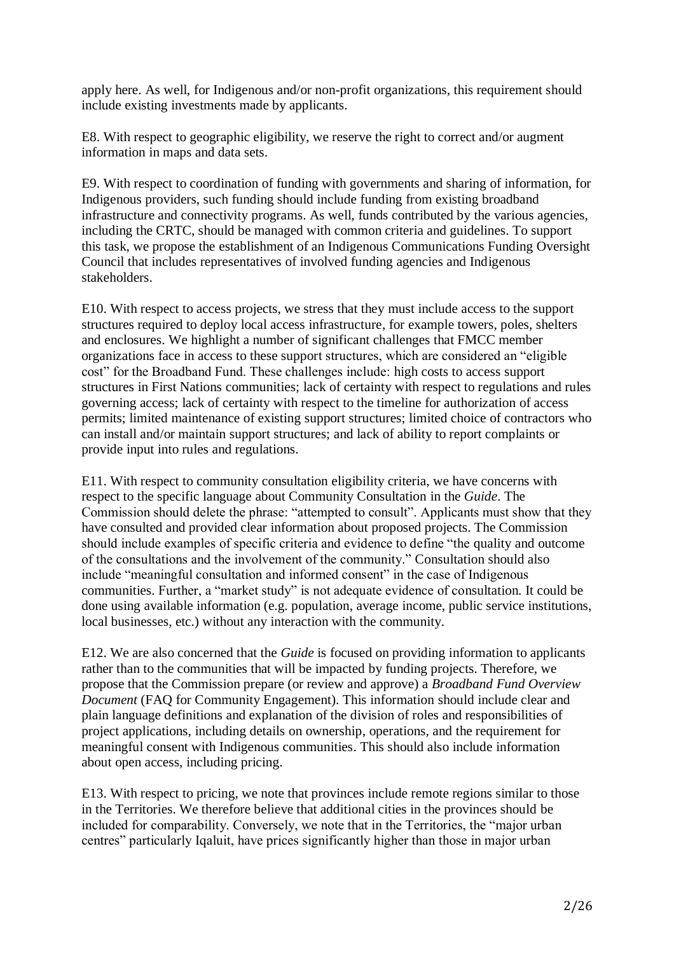apply here. As well, for Indigenous and/or non-profit organizations, this requirement should include existing investments made by applicants.

E8. With respect to geographic eligibility, we reserve the right to correct and/or augment information in maps and data sets.

E9. With respect to coordination of funding with governments and sharing of information, for Indigenous providers, such funding should include funding from existing broadband infrastructure and connectivity programs. As well, funds contributed by the various agencies, including the CRTC, should be managed with common criteria and guidelines. To support this task, we propose the establishment of an Indigenous Communications Funding Oversight Council that includes representatives of involved funding agencies and Indigenous stakeholders.

E10. With respect to access projects, we stress that they must include access to the support structures required to deploy local access infrastructure, for example towers, poles, shelters and enclosures. We highlight a number of significant challenges that FMCC member organizations face in access to these support structures, which are considered an "eligible cost" for the Broadband Fund. These challenges include: high costs to access support structures in First Nations communities; lack of certainty with respect to regulations and rules governing access; lack of certainty with respect to the timeline for authorization of access permits; limited maintenance of existing support structures; limited choice of contractors who can install and/or maintain support structures; and lack of ability to report complaints or provide input into rules and regulations.

E11. With respect to community consultation eligibility criteria, we have concerns with respect to the specific language about Community Consultation in the *Guide*. The Commission should delete the phrase: "attempted to consult". Applicants must show that they have consulted and provided clear information about proposed projects. The Commission should include examples of specific criteria and evidence to define "the quality and outcome of the consultations and the involvement of the community." Consultation should also include "meaningful consultation and informed consent" in the case of Indigenous communities. Further, a "market study" is not adequate evidence of consultation. It could be done using available information (e.g. population, average income, public service institutions, local businesses, etc.) without any interaction with the community.

E12. We are also concerned that the *Guide* is focused on providing information to applicants rather than to the communities that will be impacted by funding projects. Therefore, we propose that the Commission prepare (or review and approve) a *Broadband Fund Overview Document* (FAQ for Community Engagement). This information should include clear and plain language definitions and explanation of the division of roles and responsibilities of project applications, including details on ownership, operations, and the requirement for meaningful consent with Indigenous communities. This should also include information about open access, including pricing.

E13. With respect to pricing, we note that provinces include remote regions similar to those in the Territories. We therefore believe that additional cities in the provinces should be included for comparability. Conversely, we note that in the Territories, the "major urban centres" particularly Iqaluit, have prices significantly higher than those in major urban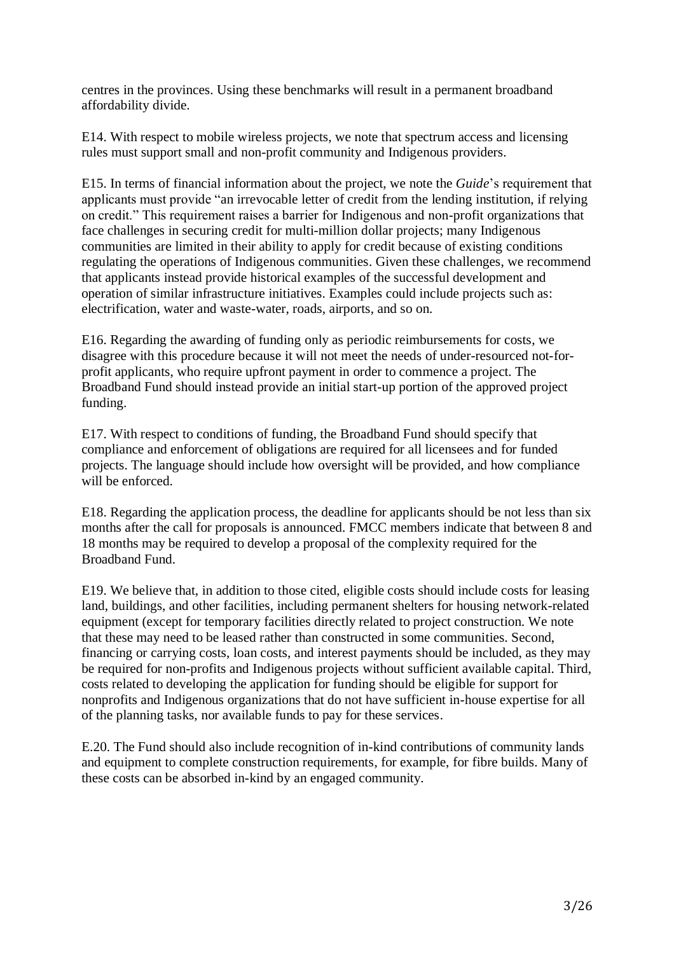centres in the provinces. Using these benchmarks will result in a permanent broadband affordability divide.

E14. With respect to mobile wireless projects, we note that spectrum access and licensing rules must support small and non-profit community and Indigenous providers.

E15. In terms of financial information about the project, we note the *Guide*'s requirement that applicants must provide "an irrevocable letter of credit from the lending institution, if relying on credit." This requirement raises a barrier for Indigenous and non-profit organizations that face challenges in securing credit for multi-million dollar projects; many Indigenous communities are limited in their ability to apply for credit because of existing conditions regulating the operations of Indigenous communities. Given these challenges, we recommend that applicants instead provide historical examples of the successful development and operation of similar infrastructure initiatives. Examples could include projects such as: electrification, water and waste-water, roads, airports, and so on.

E16. Regarding the awarding of funding only as periodic reimbursements for costs, we disagree with this procedure because it will not meet the needs of under-resourced not-forprofit applicants, who require upfront payment in order to commence a project. The Broadband Fund should instead provide an initial start-up portion of the approved project funding.

E17. With respect to conditions of funding, the Broadband Fund should specify that compliance and enforcement of obligations are required for all licensees and for funded projects. The language should include how oversight will be provided, and how compliance will be enforced.

E18. Regarding the application process, the deadline for applicants should be not less than six months after the call for proposals is announced. FMCC members indicate that between 8 and 18 months may be required to develop a proposal of the complexity required for the Broadband Fund.

E19. We believe that, in addition to those cited, eligible costs should include costs for leasing land, buildings, and other facilities, including permanent shelters for housing network-related equipment (except for temporary facilities directly related to project construction. We note that these may need to be leased rather than constructed in some communities. Second, financing or carrying costs, loan costs, and interest payments should be included, as they may be required for non-profits and Indigenous projects without sufficient available capital. Third, costs related to developing the application for funding should be eligible for support for nonprofits and Indigenous organizations that do not have sufficient in-house expertise for all of the planning tasks, nor available funds to pay for these services.

E.20. The Fund should also include recognition of in-kind contributions of community lands and equipment to complete construction requirements, for example, for fibre builds. Many of these costs can be absorbed in-kind by an engaged community.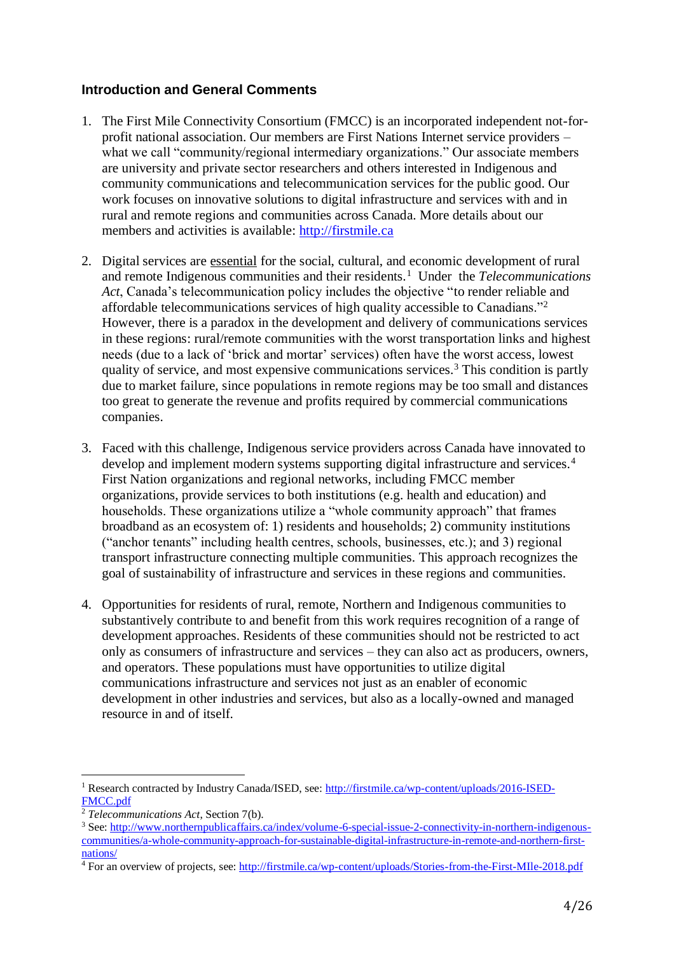## **Introduction and General Comments**

- 1. The First Mile Connectivity Consortium (FMCC) is an incorporated independent not-forprofit national association. Our members are First Nations Internet service providers – what we call "community/regional intermediary organizations." Our associate members are university and private sector researchers and others interested in Indigenous and community communications and telecommunication services for the public good. Our work focuses on innovative solutions to digital infrastructure and services with and in rural and remote regions and communities across Canada. More details about our members and activities is available: [http://firstmile.ca](http://firstmile.ca/)
- 2. Digital services are essential for the social, cultural, and economic development of rural and remote Indigenous communities and their residents.<sup>1</sup> Under the *Telecommunications Act*, Canada's telecommunication policy includes the objective "to render reliable and affordable telecommunications services of high quality accessible to Canadians."<sup>2</sup> However, there is a paradox in the development and delivery of communications services in these regions: rural/remote communities with the worst transportation links and highest needs (due to a lack of 'brick and mortar' services) often have the worst access, lowest quality of service, and most expensive communications services.<sup>3</sup> This condition is partly due to market failure, since populations in remote regions may be too small and distances too great to generate the revenue and profits required by commercial communications companies.
- 3. Faced with this challenge, Indigenous service providers across Canada have innovated to develop and implement modern systems supporting digital infrastructure and services.<sup>4</sup> First Nation organizations and regional networks, including FMCC member organizations, provide services to both institutions (e.g. health and education) and households. These organizations utilize a "whole community approach" that frames broadband as an ecosystem of: 1) residents and households; 2) community institutions ("anchor tenants" including health centres, schools, businesses, etc.); and 3) regional transport infrastructure connecting multiple communities. This approach recognizes the goal of sustainability of infrastructure and services in these regions and communities.
- 4. Opportunities for residents of rural, remote, Northern and Indigenous communities to substantively contribute to and benefit from this work requires recognition of a range of development approaches. Residents of these communities should not be restricted to act only as consumers of infrastructure and services – they can also act as producers, owners, and operators. These populations must have opportunities to utilize digital communications infrastructure and services not just as an enabler of economic development in other industries and services, but also as a locally-owned and managed resource in and of itself.

 $\overline{a}$ 

<sup>1</sup> Research contracted by Industry Canada/ISED, see: [http://firstmile.ca/wp-content/uploads/2016-ISED-](http://firstmile.ca/wp-content/uploads/2016-ISED-FMCC.pdf)[FMCC.pdf](http://firstmile.ca/wp-content/uploads/2016-ISED-FMCC.pdf)

<sup>2</sup> *Telecommunications Act*, Section 7(b).

<sup>&</sup>lt;sup>3</sup> See: [http://www.northernpublicaffairs.ca/index/volume-6-special-issue-2-connectivity-in-northern-indigenous](http://www.northernpublicaffairs.ca/index/volume-6-special-issue-2-connectivity-in-northern-indigenous-communities/a-whole-community-approach-for-sustainable-digital-infrastructure-in-remote-and-northern-first-nations/)[communities/a-whole-community-approach-for-sustainable-digital-infrastructure-in-remote-and-northern-first](http://www.northernpublicaffairs.ca/index/volume-6-special-issue-2-connectivity-in-northern-indigenous-communities/a-whole-community-approach-for-sustainable-digital-infrastructure-in-remote-and-northern-first-nations/)[nations/](http://www.northernpublicaffairs.ca/index/volume-6-special-issue-2-connectivity-in-northern-indigenous-communities/a-whole-community-approach-for-sustainable-digital-infrastructure-in-remote-and-northern-first-nations/)

 $\overline{4}$  For an overview of projects, see:<http://firstmile.ca/wp-content/uploads/Stories-from-the-First-MIle-2018.pdf>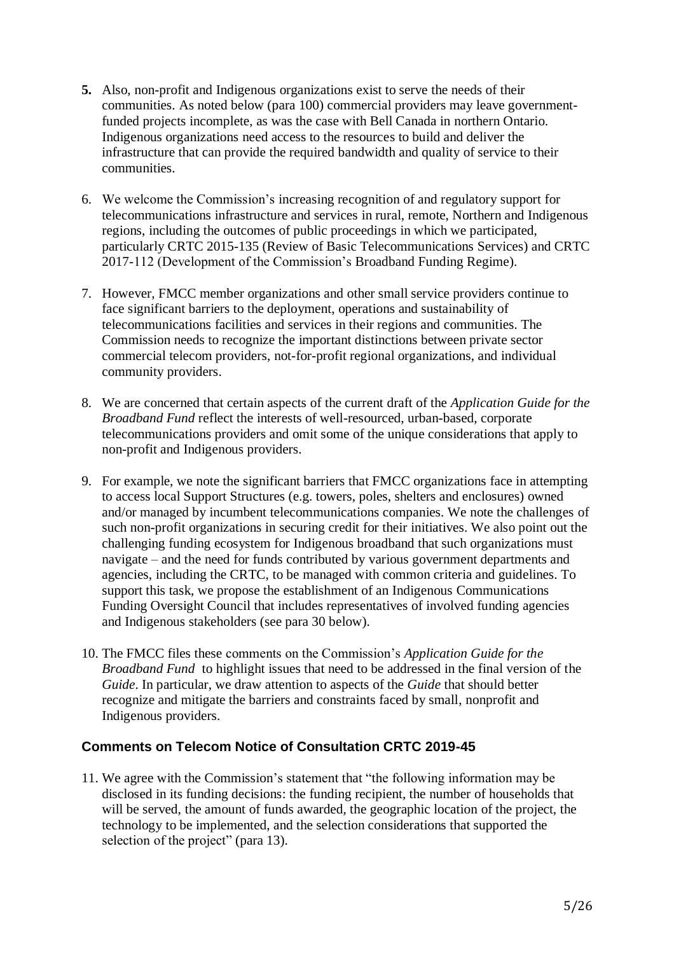- **5.** Also, non-profit and Indigenous organizations exist to serve the needs of their communities. As noted below (para 100) commercial providers may leave governmentfunded projects incomplete, as was the case with Bell Canada in northern Ontario. Indigenous organizations need access to the resources to build and deliver the infrastructure that can provide the required bandwidth and quality of service to their communities.
- 6. We welcome the Commission's increasing recognition of and regulatory support for telecommunications infrastructure and services in rural, remote, Northern and Indigenous regions, including the outcomes of public proceedings in which we participated, particularly CRTC 2015-135 (Review of Basic Telecommunications Services) and CRTC 2017-112 (Development of the Commission's Broadband Funding Regime).
- 7. However, FMCC member organizations and other small service providers continue to face significant barriers to the deployment, operations and sustainability of telecommunications facilities and services in their regions and communities. The Commission needs to recognize the important distinctions between private sector commercial telecom providers, not-for-profit regional organizations, and individual community providers.
- 8. We are concerned that certain aspects of the current draft of the *Application Guide for the Broadband Fund* reflect the interests of well-resourced, urban-based, corporate telecommunications providers and omit some of the unique considerations that apply to non-profit and Indigenous providers.
- 9. For example, we note the significant barriers that FMCC organizations face in attempting to access local Support Structures (e.g. towers, poles, shelters and enclosures) owned and/or managed by incumbent telecommunications companies. We note the challenges of such non-profit organizations in securing credit for their initiatives. We also point out the challenging funding ecosystem for Indigenous broadband that such organizations must navigate – and the need for funds contributed by various government departments and agencies, including the CRTC, to be managed with common criteria and guidelines. To support this task, we propose the establishment of an Indigenous Communications Funding Oversight Council that includes representatives of involved funding agencies and Indigenous stakeholders (see para 30 below).
- 10. The FMCC files these comments on the Commission's *Application Guide for the Broadband Fund* to highlight issues that need to be addressed in the final version of the *Guide*. In particular, we draw attention to aspects of the *Guide* that should better recognize and mitigate the barriers and constraints faced by small, nonprofit and Indigenous providers.

## **Comments on Telecom Notice of Consultation CRTC 2019-45**

11. We agree with the Commission's statement that "the following information may be disclosed in its funding decisions: the funding recipient, the number of households that will be served, the amount of funds awarded, the geographic location of the project, the technology to be implemented, and the selection considerations that supported the selection of the project" (para 13).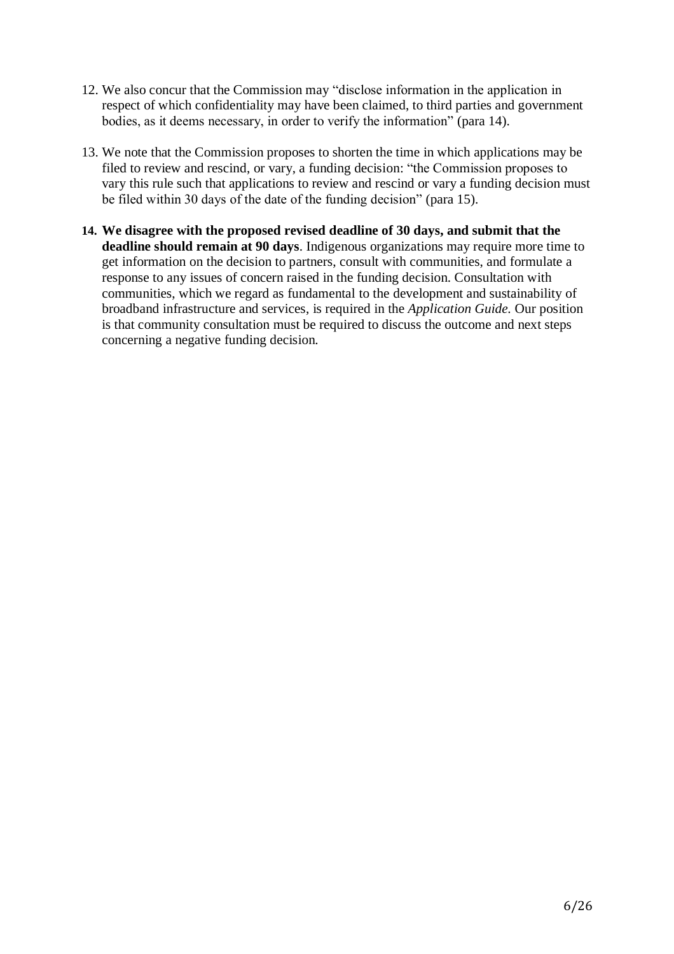- 12. We also concur that the Commission may "disclose information in the application in respect of which confidentiality may have been claimed, to third parties and government bodies, as it deems necessary, in order to verify the information" (para 14).
- 13. We note that the Commission proposes to shorten the time in which applications may be filed to review and rescind, or vary, a funding decision: "the Commission proposes to vary this rule such that applications to review and rescind or vary a funding decision must be filed within 30 days of the date of the funding decision" (para 15).
- **14. We disagree with the proposed revised deadline of 30 days, and submit that the deadline should remain at 90 days**. Indigenous organizations may require more time to get information on the decision to partners, consult with communities, and formulate a response to any issues of concern raised in the funding decision. Consultation with communities, which we regard as fundamental to the development and sustainability of broadband infrastructure and services, is required in the *Application Guide.* Our position is that community consultation must be required to discuss the outcome and next steps concerning a negative funding decision.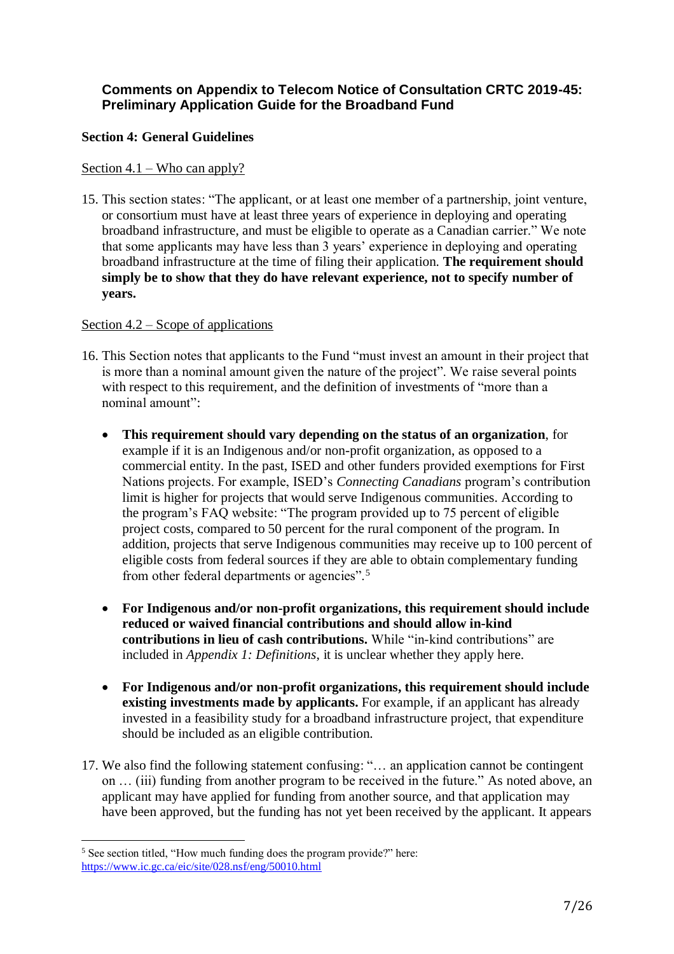## **Comments on Appendix to Telecom Notice of Consultation CRTC 2019-45: Preliminary Application Guide for the Broadband Fund**

#### **Section 4: General Guidelines**

#### Section 4.1 – Who can apply?

15. This section states: "The applicant, or at least one member of a partnership, joint venture, or consortium must have at least three years of experience in deploying and operating broadband infrastructure, and must be eligible to operate as a Canadian carrier." We note that some applicants may have less than 3 years' experience in deploying and operating broadband infrastructure at the time of filing their application. **The requirement should simply be to show that they do have relevant experience, not to specify number of years.**

#### Section 4.2 – Scope of applications

- 16. This Section notes that applicants to the Fund "must invest an amount in their project that is more than a nominal amount given the nature of the project". We raise several points with respect to this requirement, and the definition of investments of "more than a nominal amount":
	- **This requirement should vary depending on the status of an organization**, for example if it is an Indigenous and/or non-profit organization, as opposed to a commercial entity. In the past, ISED and other funders provided exemptions for First Nations projects. For example, ISED's *Connecting Canadians* program's contribution limit is higher for projects that would serve Indigenous communities. According to the program's FAQ website: "The program provided up to 75 percent of eligible project costs, compared to 50 percent for the rural component of the program. In addition, projects that serve Indigenous communities may receive up to 100 percent of eligible costs from federal sources if they are able to obtain complementary funding from other federal departments or agencies".<sup>5</sup>
	- **For Indigenous and/or non-profit organizations, this requirement should include reduced or waived financial contributions and should allow in-kind contributions in lieu of cash contributions.** While "in-kind contributions" are included in *Appendix 1: Definitions*, it is unclear whether they apply here.
	- **For Indigenous and/or non-profit organizations, this requirement should include existing investments made by applicants.** For example, if an applicant has already invested in a feasibility study for a broadband infrastructure project, that expenditure should be included as an eligible contribution.
- 17. We also find the following statement confusing: "… an application cannot be contingent on … (iii) funding from another program to be received in the future." As noted above, an applicant may have applied for funding from another source, and that application may have been approved, but the funding has not yet been received by the applicant. It appears

l

<sup>5</sup> See section titled, "How much funding does the program provide?" here: <https://www.ic.gc.ca/eic/site/028.nsf/eng/50010.html>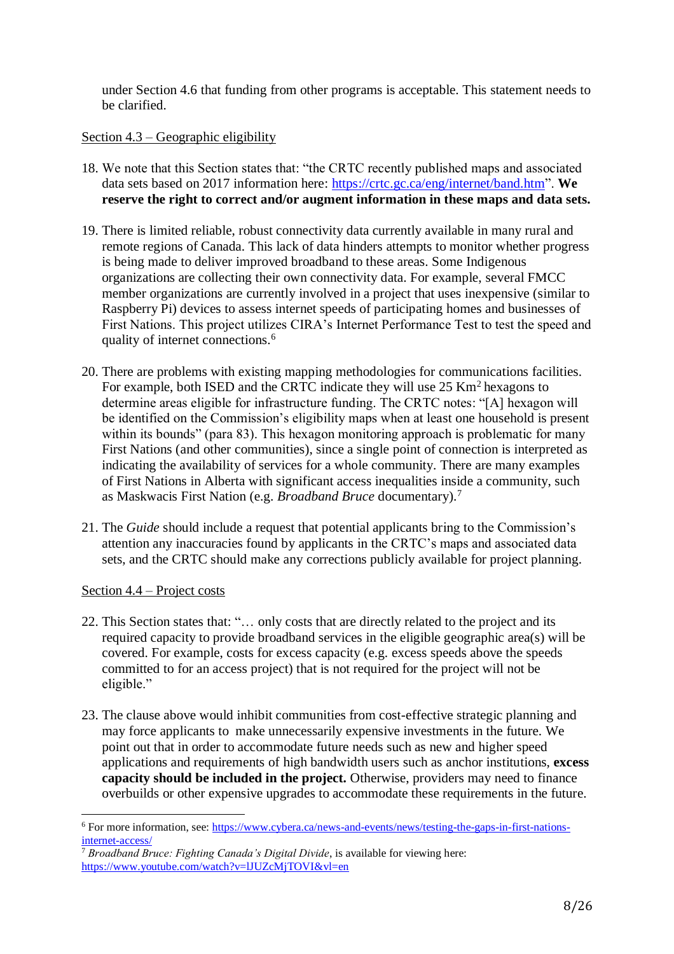under Section 4.6 that funding from other programs is acceptable. This statement needs to be clarified.

#### Section 4.3 – Geographic eligibility

- 18. We note that this Section states that: "the CRTC recently published maps and associated data sets based on 2017 information here: [https://crtc.gc.ca/eng/internet/band.htm"](https://crtc.gc.ca/eng/internet/band.htm). **We reserve the right to correct and/or augment information in these maps and data sets.**
- 19. There is limited reliable, robust connectivity data currently available in many rural and remote regions of Canada. This lack of data hinders attempts to monitor whether progress is being made to deliver improved broadband to these areas. Some Indigenous organizations are collecting their own connectivity data. For example, several FMCC member organizations are currently involved in a project that uses inexpensive (similar to Raspberry Pi) devices to assess internet speeds of participating homes and businesses of First Nations. This project utilizes CIRA's Internet Performance Test to test the speed and quality of internet connections.<sup>6</sup>
- 20. There are problems with existing mapping methodologies for communications facilities. For example, both ISED and the CRTC indicate they will use  $25 \text{ Km}^2$  hexagons to determine areas eligible for infrastructure funding. The CRTC notes: "[A] hexagon will be identified on the Commission's eligibility maps when at least one household is present within its bounds" (para 83). This hexagon monitoring approach is problematic for many First Nations (and other communities), since a single point of connection is interpreted as indicating the availability of services for a whole community. There are many examples of First Nations in Alberta with significant access inequalities inside a community, such as Maskwacis First Nation (e.g. *Broadband Bruce* documentary).<sup>7</sup>
- 21. The *Guide* should include a request that potential applicants bring to the Commission's attention any inaccuracies found by applicants in the CRTC's maps and associated data sets, and the CRTC should make any corrections publicly available for project planning.

#### Section 4.4 – Project costs

 $\overline{a}$ 

- 22. This Section states that: "… only costs that are directly related to the project and its required capacity to provide broadband services in the eligible geographic area(s) will be covered. For example, costs for excess capacity (e.g. excess speeds above the speeds committed to for an access project) that is not required for the project will not be eligible."
- 23. The clause above would inhibit communities from cost-effective strategic planning and may force applicants to make unnecessarily expensive investments in the future. We point out that in order to accommodate future needs such as new and higher speed applications and requirements of high bandwidth users such as anchor institutions, **excess capacity should be included in the project.** Otherwise, providers may need to finance overbuilds or other expensive upgrades to accommodate these requirements in the future.

<sup>6</sup> For more information, see: [https://www.cybera.ca/news-and-events/news/testing-the-gaps-in-first-nations](https://www.cybera.ca/news-and-events/news/testing-the-gaps-in-first-nations-internet-access/)[internet-access/](https://www.cybera.ca/news-and-events/news/testing-the-gaps-in-first-nations-internet-access/)

<sup>7</sup> *Broadband Bruce: Fighting Canada's Digital Divide*, is available for viewing here: <https://www.youtube.com/watch?v=lJUZcMjTOVI&vl=en>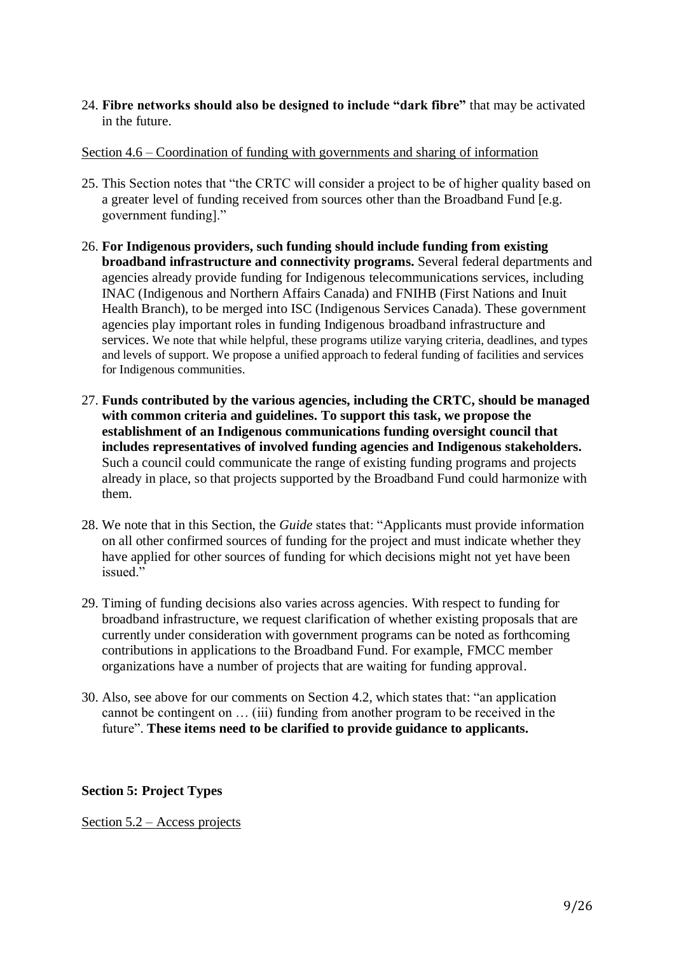24. **Fibre networks should also be designed to include "dark fibre"** that may be activated in the future.

#### Section 4.6 – Coordination of funding with governments and sharing of information

- 25. This Section notes that "the CRTC will consider a project to be of higher quality based on a greater level of funding received from sources other than the Broadband Fund [e.g. government funding]."
- 26. **For Indigenous providers, such funding should include funding from existing broadband infrastructure and connectivity programs.** Several federal departments and agencies already provide funding for Indigenous telecommunications services, including INAC (Indigenous and Northern Affairs Canada) and FNIHB (First Nations and Inuit Health Branch), to be merged into ISC (Indigenous Services Canada). These government agencies play important roles in funding Indigenous broadband infrastructure and services. We note that while helpful, these programs utilize varying criteria, deadlines, and types and levels of support. We propose a unified approach to federal funding of facilities and services for Indigenous communities.
- 27. **Funds contributed by the various agencies, including the CRTC, should be managed with common criteria and guidelines. To support this task, we propose the establishment of an Indigenous communications funding oversight council that includes representatives of involved funding agencies and Indigenous stakeholders.** Such a council could communicate the range of existing funding programs and projects already in place, so that projects supported by the Broadband Fund could harmonize with them.
- 28. We note that in this Section, the *Guide* states that: "Applicants must provide information on all other confirmed sources of funding for the project and must indicate whether they have applied for other sources of funding for which decisions might not yet have been issued."
- 29. Timing of funding decisions also varies across agencies. With respect to funding for broadband infrastructure, we request clarification of whether existing proposals that are currently under consideration with government programs can be noted as forthcoming contributions in applications to the Broadband Fund. For example, FMCC member organizations have a number of projects that are waiting for funding approval.
- 30. Also, see above for our comments on Section 4.2, which states that: "an application cannot be contingent on … (iii) funding from another program to be received in the future". **These items need to be clarified to provide guidance to applicants.**

## **Section 5: Project Types**

Section 5.2 – Access projects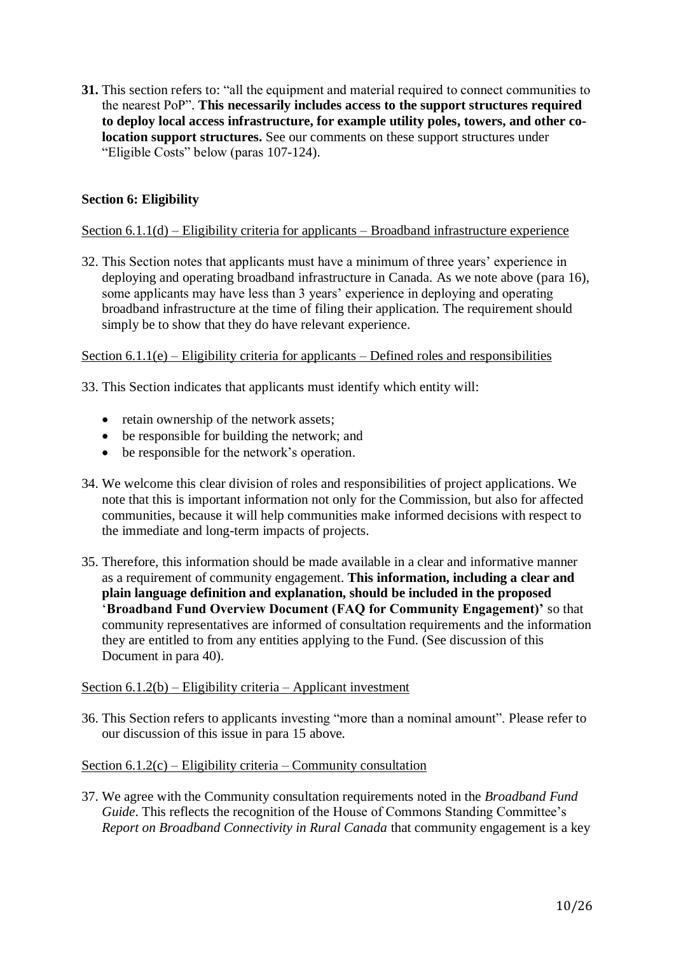**31.** This section refers to: "all the equipment and material required to connect communities to the nearest PoP". **This necessarily includes access to the support structures required to deploy local access infrastructure, for example utility poles, towers, and other colocation support structures.** See our comments on these support structures under "Eligible Costs" below (paras 107-124).

## **Section 6: Eligibility**

#### Section 6.1.1(d) – Eligibility criteria for applicants – Broadband infrastructure experience

32. This Section notes that applicants must have a minimum of three years' experience in deploying and operating broadband infrastructure in Canada. As we note above (para 16), some applicants may have less than 3 years' experience in deploying and operating broadband infrastructure at the time of filing their application. The requirement should simply be to show that they do have relevant experience.

Section  $6.1.1(e)$  – Eligibility criteria for applicants – Defined roles and responsibilities

33. This Section indicates that applicants must identify which entity will:

- retain ownership of the network assets;
- be responsible for building the network; and
- be responsible for the network's operation.
- 34. We welcome this clear division of roles and responsibilities of project applications. We note that this is important information not only for the Commission, but also for affected communities, because it will help communities make informed decisions with respect to the immediate and long-term impacts of projects.
- 35. Therefore, this information should be made available in a clear and informative manner as a requirement of community engagement. **This information, including a clear and plain language definition and explanation, should be included in the proposed** '**Broadband Fund Overview Document (FAQ for Community Engagement)'** so that community representatives are informed of consultation requirements and the information they are entitled to from any entities applying to the Fund. (See discussion of this Document in para 40).

#### Section 6.1.2(b) – Eligibility criteria – Applicant investment

36. This Section refers to applicants investing "more than a nominal amount". Please refer to our discussion of this issue in para 15 above.

#### Section  $6.1.2(c)$  – Eligibility criteria – Community consultation

37. We agree with the Community consultation requirements noted in the *Broadband Fund Guide*. This reflects the recognition of the House of Commons Standing Committee's *Report on Broadband Connectivity in Rural Canada* that community engagement is a key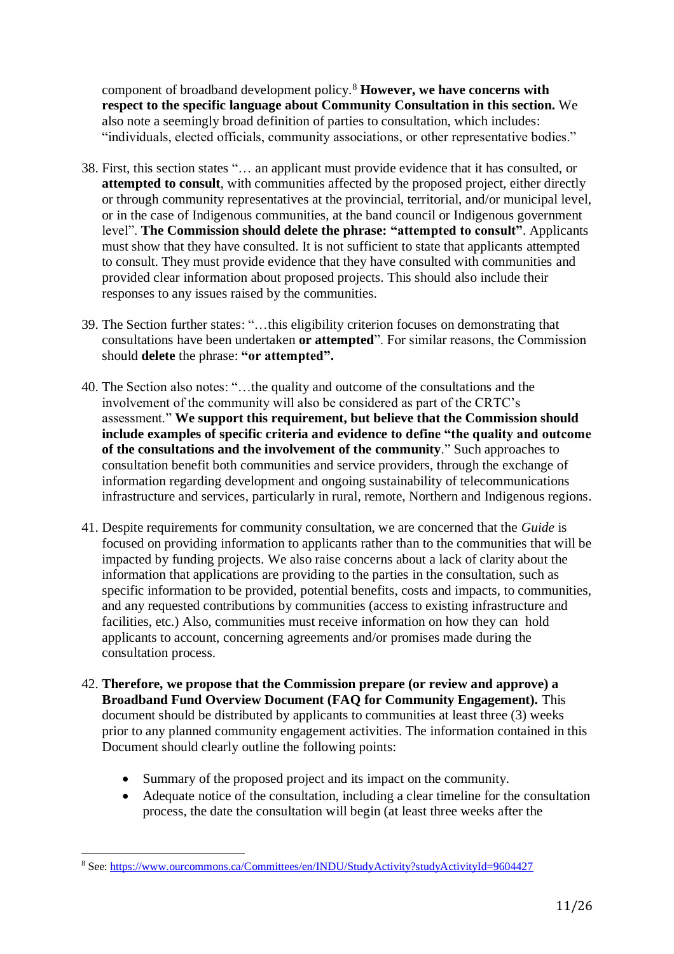component of broadband development policy.<sup>8</sup> **However, we have concerns with respect to the specific language about Community Consultation in this section.** We also note a seemingly broad definition of parties to consultation, which includes: "individuals, elected officials, community associations, or other representative bodies."

- 38. First, this section states "… an applicant must provide evidence that it has consulted, or **attempted to consult**, with communities affected by the proposed project, either directly or through community representatives at the provincial, territorial, and/or municipal level, or in the case of Indigenous communities, at the band council or Indigenous government level". **The Commission should delete the phrase: "attempted to consult"**. Applicants must show that they have consulted. It is not sufficient to state that applicants attempted to consult. They must provide evidence that they have consulted with communities and provided clear information about proposed projects. This should also include their responses to any issues raised by the communities.
- 39. The Section further states: "…this eligibility criterion focuses on demonstrating that consultations have been undertaken **or attempted**". For similar reasons, the Commission should **delete** the phrase: **"or attempted".**
- 40. The Section also notes: "…the quality and outcome of the consultations and the involvement of the community will also be considered as part of the CRTC's assessment." **We support this requirement, but believe that the Commission should include examples of specific criteria and evidence to define "the quality and outcome of the consultations and the involvement of the community**." Such approaches to consultation benefit both communities and service providers, through the exchange of information regarding development and ongoing sustainability of telecommunications infrastructure and services, particularly in rural, remote, Northern and Indigenous regions.
- 41. Despite requirements for community consultation, we are concerned that the *Guide* is focused on providing information to applicants rather than to the communities that will be impacted by funding projects. We also raise concerns about a lack of clarity about the information that applications are providing to the parties in the consultation, such as specific information to be provided, potential benefits, costs and impacts, to communities, and any requested contributions by communities (access to existing infrastructure and facilities, etc.) Also, communities must receive information on how they can hold applicants to account, concerning agreements and/or promises made during the consultation process.
- 42. **Therefore, we propose that the Commission prepare (or review and approve) a Broadband Fund Overview Document (FAQ for Community Engagement).** This document should be distributed by applicants to communities at least three (3) weeks prior to any planned community engagement activities. The information contained in this Document should clearly outline the following points:
	- Summary of the proposed project and its impact on the community.
	- Adequate notice of the consultation, including a clear timeline for the consultation process, the date the consultation will begin (at least three weeks after the

 $\overline{a}$ 

<sup>8</sup> See:<https://www.ourcommons.ca/Committees/en/INDU/StudyActivity?studyActivityId=9604427>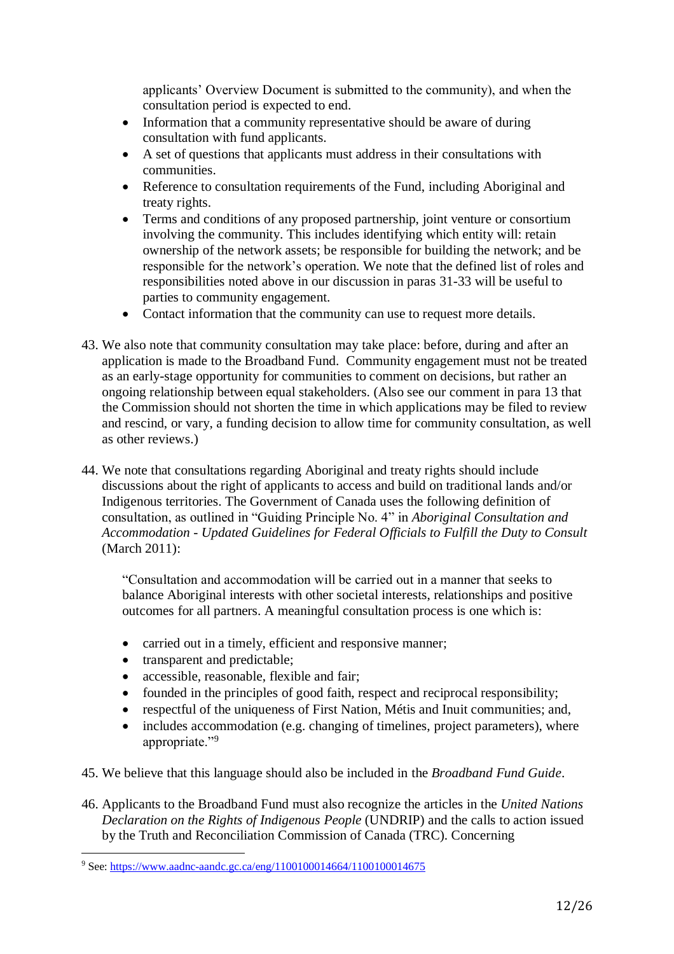applicants' Overview Document is submitted to the community), and when the consultation period is expected to end.

- Information that a community representative should be aware of during consultation with fund applicants.
- A set of questions that applicants must address in their consultations with communities.
- Reference to consultation requirements of the Fund, including Aboriginal and treaty rights.
- Terms and conditions of any proposed partnership, joint venture or consortium involving the community. This includes identifying which entity will: retain ownership of the network assets; be responsible for building the network; and be responsible for the network's operation. We note that the defined list of roles and responsibilities noted above in our discussion in paras 31-33 will be useful to parties to community engagement.
- Contact information that the community can use to request more details.
- 43. We also note that community consultation may take place: before, during and after an application is made to the Broadband Fund. Community engagement must not be treated as an early-stage opportunity for communities to comment on decisions, but rather an ongoing relationship between equal stakeholders. (Also see our comment in para 13 that the Commission should not shorten the time in which applications may be filed to review and rescind, or vary, a funding decision to allow time for community consultation, as well as other reviews.)
- 44. We note that consultations regarding Aboriginal and treaty rights should include discussions about the right of applicants to access and build on traditional lands and/or Indigenous territories. The Government of Canada uses the following definition of consultation, as outlined in "Guiding Principle No. 4" in *Aboriginal Consultation and Accommodation - Updated Guidelines for Federal Officials to Fulfill the Duty to Consult* (March 2011):

"Consultation and accommodation will be carried out in a manner that seeks to balance Aboriginal interests with other societal interests, relationships and positive outcomes for all partners. A meaningful consultation process is one which is:

- carried out in a timely, efficient and responsive manner;
- transparent and predictable;

 $\overline{a}$ 

- accessible, reasonable, flexible and fair:
- founded in the principles of good faith, respect and reciprocal responsibility;
- respectful of the uniqueness of First Nation, Métis and Inuit communities; and,
- includes accommodation (e.g. changing of timelines, project parameters), where appropriate."<sup>9</sup>
- 45. We believe that this language should also be included in the *Broadband Fund Guide*.
- 46. Applicants to the Broadband Fund must also recognize the articles in the *United Nations Declaration on the Rights of Indigenous People* (UNDRIP) and the calls to action issued by the Truth and Reconciliation Commission of Canada (TRC). Concerning

<sup>9</sup> See:<https://www.aadnc-aandc.gc.ca/eng/1100100014664/1100100014675>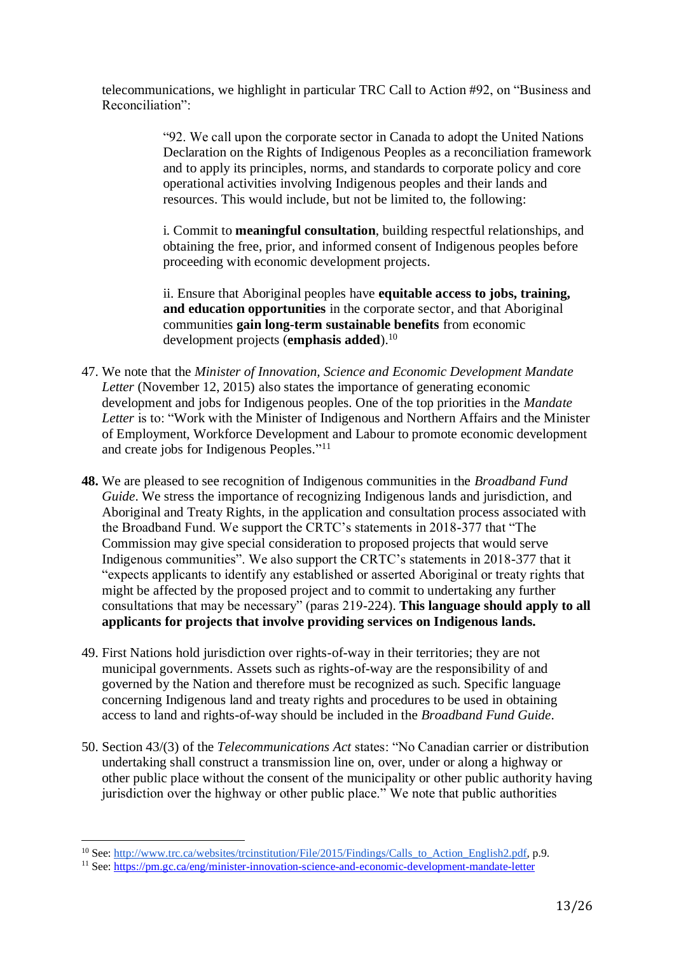telecommunications, we highlight in particular TRC Call to Action #92, on "Business and Reconciliation":

> "92. We call upon the corporate sector in Canada to adopt the United Nations Declaration on the Rights of Indigenous Peoples as a reconciliation framework and to apply its principles, norms, and standards to corporate policy and core operational activities involving Indigenous peoples and their lands and resources. This would include, but not be limited to, the following:

i. Commit to **meaningful consultation**, building respectful relationships, and obtaining the free, prior, and informed consent of Indigenous peoples before proceeding with economic development projects.

ii. Ensure that Aboriginal peoples have **equitable access to jobs, training, and education opportunities** in the corporate sector, and that Aboriginal communities **gain long-term sustainable benefits** from economic development projects (**emphasis added**).<sup>10</sup>

- 47. We note that the *Minister of Innovation, Science and Economic Development Mandate Letter* (November 12, 2015) also states the importance of generating economic development and jobs for Indigenous peoples. One of the top priorities in the *Mandate Letter* is to: "Work with the Minister of Indigenous and Northern Affairs and the Minister of Employment, Workforce Development and Labour to promote economic development and create jobs for Indigenous Peoples."<sup>11</sup>
- **48.** We are pleased to see recognition of Indigenous communities in the *Broadband Fund Guide*. We stress the importance of recognizing Indigenous lands and jurisdiction, and Aboriginal and Treaty Rights, in the application and consultation process associated with the Broadband Fund. We support the CRTC's statements in 2018-377 that "The Commission may give special consideration to proposed projects that would serve Indigenous communities". We also support the CRTC's statements in 2018-377 that it "expects applicants to identify any established or asserted Aboriginal or treaty rights that might be affected by the proposed project and to commit to undertaking any further consultations that may be necessary" (paras 219-224). **This language should apply to all applicants for projects that involve providing services on Indigenous lands.**
- 49. First Nations hold jurisdiction over rights-of-way in their territories; they are not municipal governments. Assets such as rights-of-way are the responsibility of and governed by the Nation and therefore must be recognized as such. Specific language concerning Indigenous land and treaty rights and procedures to be used in obtaining access to land and rights-of-way should be included in the *Broadband Fund Guide*.
- 50. Section 43/(3) of the *Telecommunications Act* states: "No Canadian carrier or distribution undertaking shall construct a transmission line on, over, under or along a highway or other public place without the consent of the municipality or other public authority having jurisdiction over the highway or other public place." We note that public authorities

l

<sup>&</sup>lt;sup>10</sup> See[: http://www.trc.ca/websites/trcinstitution/File/2015/Findings/Calls\\_to\\_Action\\_English2.pdf,](http://www.trc.ca/websites/trcinstitution/File/2015/Findings/Calls_to_Action_English2.pdf) p.9.

<sup>11</sup> See[: https://pm.gc.ca/eng/minister-innovation-science-and-economic-development-mandate-letter](https://pm.gc.ca/eng/minister-innovation-science-and-economic-development-mandate-letter)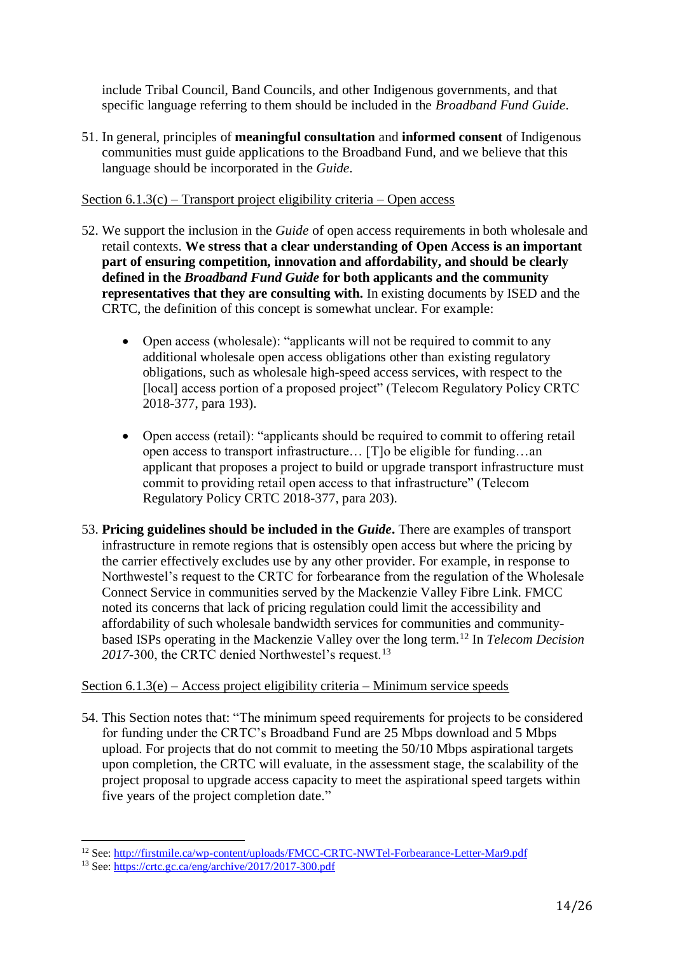include Tribal Council, Band Councils, and other Indigenous governments, and that specific language referring to them should be included in the *Broadband Fund Guide*.

51. In general, principles of **meaningful consultation** and **informed consent** of Indigenous communities must guide applications to the Broadband Fund, and we believe that this language should be incorporated in the *Guide*.

Section 6.1.3(c) – Transport project eligibility criteria – Open access

- 52. We support the inclusion in the *Guide* of open access requirements in both wholesale and retail contexts. **We stress that a clear understanding of Open Access is an important part of ensuring competition, innovation and affordability, and should be clearly defined in the** *Broadband Fund Guide* **for both applicants and the community representatives that they are consulting with.** In existing documents by ISED and the CRTC, the definition of this concept is somewhat unclear. For example:
	- Open access (wholesale): "applicants will not be required to commit to any additional wholesale open access obligations other than existing regulatory obligations, such as wholesale high-speed access services, with respect to the [local] access portion of a proposed project" (Telecom Regulatory Policy CRTC 2018-377, para 193).
	- Open access (retail): "applicants should be required to commit to offering retail open access to transport infrastructure… [T]o be eligible for funding…an applicant that proposes a project to build or upgrade transport infrastructure must commit to providing retail open access to that infrastructure" (Telecom Regulatory Policy CRTC 2018-377, para 203).
- 53. **Pricing guidelines should be included in the** *Guide***.** There are examples of transport infrastructure in remote regions that is ostensibly open access but where the pricing by the carrier effectively excludes use by any other provider. For example, in response to Northwestel's request to the CRTC for forbearance from the regulation of the Wholesale Connect Service in communities served by the Mackenzie Valley Fibre Link. FMCC noted its concerns that lack of pricing regulation could limit the accessibility and affordability of such wholesale bandwidth services for communities and communitybased ISPs operating in the Mackenzie Valley over the long term.<sup>12</sup> In *Telecom Decision*  2017-300, the CRTC denied Northwestel's request.<sup>13</sup>

## Section 6.1.3(e) – Access project eligibility criteria – Minimum service speeds

54. This Section notes that: "The minimum speed requirements for projects to be considered for funding under the CRTC's Broadband Fund are 25 Mbps download and 5 Mbps upload. For projects that do not commit to meeting the 50/10 Mbps aspirational targets upon completion, the CRTC will evaluate, in the assessment stage, the scalability of the project proposal to upgrade access capacity to meet the aspirational speed targets within five years of the project completion date."

l

<sup>&</sup>lt;sup>12</sup> See[: http://firstmile.ca/wp-content/uploads/FMCC-CRTC-NWTel-Forbearance-Letter-Mar9.pdf](http://firstmile.ca/wp-content/uploads/FMCC-CRTC-NWTel-Forbearance-Letter-Mar9.pdf)

<sup>&</sup>lt;sup>13</sup> See[: https://crtc.gc.ca/eng/archive/2017/2017-300.pdf](https://crtc.gc.ca/eng/archive/2017/2017-300.pdf)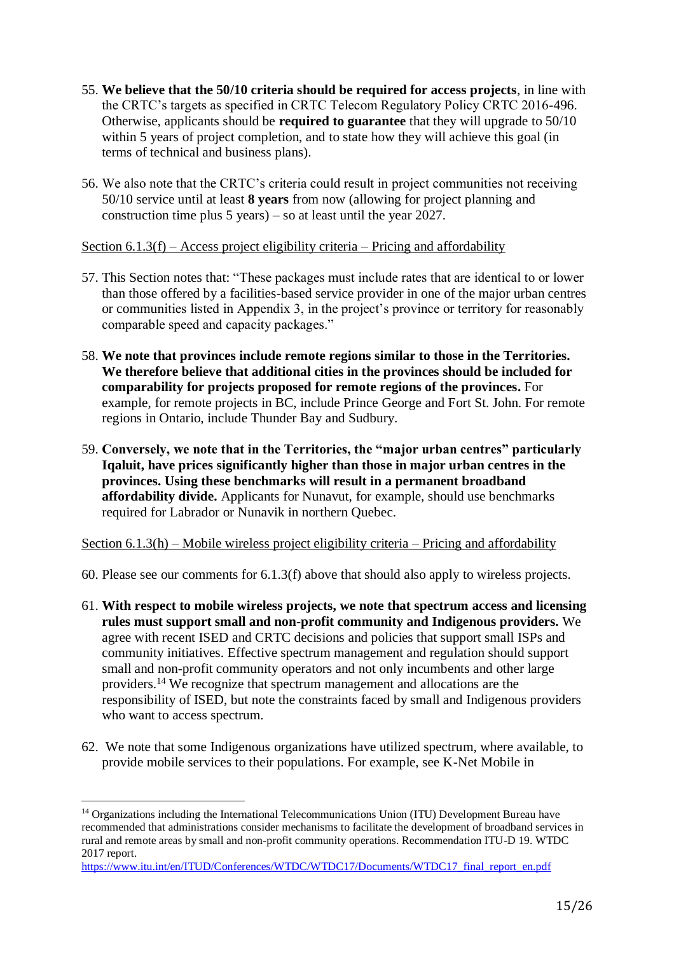- 55. **We believe that the 50/10 criteria should be required for access projects**, in line with the CRTC's targets as specified in CRTC Telecom Regulatory Policy CRTC 2016-496. Otherwise, applicants should be **required to guarantee** that they will upgrade to 50/10 within 5 years of project completion, and to state how they will achieve this goal (in terms of technical and business plans).
- 56. We also note that the CRTC's criteria could result in project communities not receiving 50/10 service until at least **8 years** from now (allowing for project planning and construction time plus 5 years) – so at least until the year 2027.

Section  $6.1.3(f)$  – Access project eligibility criteria – Pricing and affordability

- 57. This Section notes that: "These packages must include rates that are identical to or lower than those offered by a facilities-based service provider in one of the major urban centres or communities listed in Appendix 3, in the project's province or territory for reasonably comparable speed and capacity packages."
- 58. **We note that provinces include remote regions similar to those in the Territories. We therefore believe that additional cities in the provinces should be included for comparability for projects proposed for remote regions of the provinces.** For example, for remote projects in BC, include Prince George and Fort St. John. For remote regions in Ontario, include Thunder Bay and Sudbury.
- 59. **Conversely, we note that in the Territories, the "major urban centres" particularly Iqaluit, have prices significantly higher than those in major urban centres in the provinces. Using these benchmarks will result in a permanent broadband affordability divide.** Applicants for Nunavut, for example, should use benchmarks required for Labrador or Nunavik in northern Quebec.

Section 6.1.3(h) – Mobile wireless project eligibility criteria – Pricing and affordability

- 60. Please see our comments for 6.1.3(f) above that should also apply to wireless projects.
- 61. **With respect to mobile wireless projects, we note that spectrum access and licensing rules must support small and non-profit community and Indigenous providers.** We agree with recent ISED and CRTC decisions and policies that support small ISPs and community initiatives. Effective spectrum management and regulation should support small and non-profit community operators and not only incumbents and other large providers.<sup>14</sup> We recognize that spectrum management and allocations are the responsibility of ISED, but note the constraints faced by small and Indigenous providers who want to access spectrum.
- 62. We note that some Indigenous organizations have utilized spectrum, where available, to provide mobile services to their populations. For example, see K-Net Mobile in

 $\overline{\phantom{a}}$ 

<sup>14</sup> Organizations including the International Telecommunications Union (ITU) Development Bureau have recommended that administrations consider mechanisms to facilitate the development of broadband services in rural and remote areas by small and non-profit community operations. Recommendation ITU-D 19. WTDC 2017 report.

[https://www.itu.int/en/ITUD/Conferences/WTDC/WTDC17/Documents/WTDC17\\_final\\_report\\_en.pdf](https://www.itu.int/en/ITUD/Conferences/WTDC/WTDC17/Documents/WTDC17_final_report_en.pdf)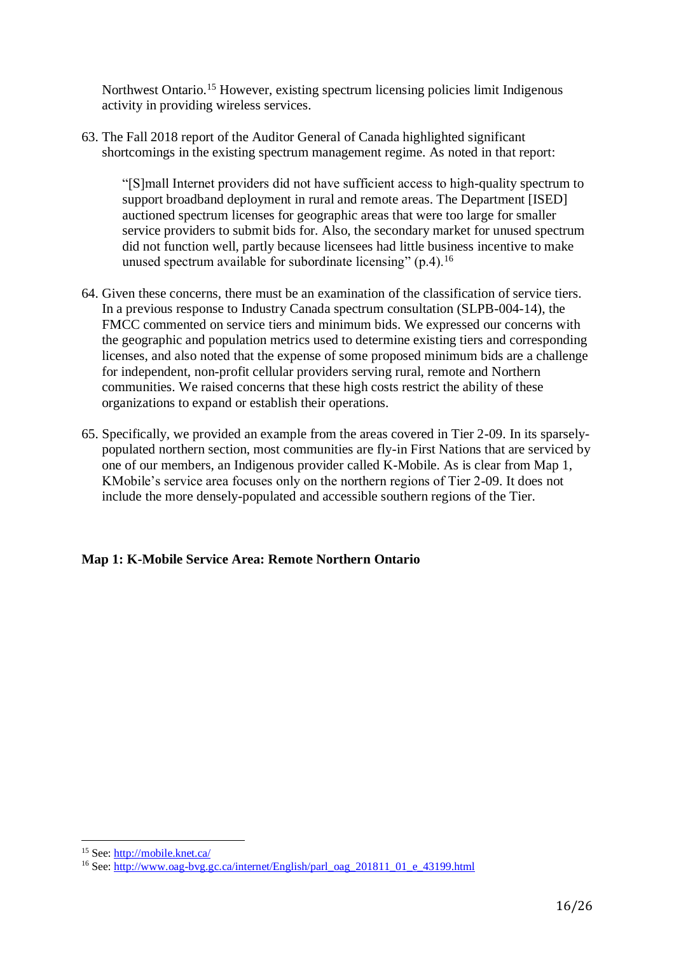Northwest Ontario.<sup>15</sup> However, existing spectrum licensing policies limit Indigenous activity in providing wireless services.

63. The Fall 2018 report of the Auditor General of Canada highlighted significant shortcomings in the existing spectrum management regime. As noted in that report:

"[S]mall Internet providers did not have sufficient access to high-quality spectrum to support broadband deployment in rural and remote areas. The Department [ISED] auctioned spectrum licenses for geographic areas that were too large for smaller service providers to submit bids for. Also, the secondary market for unused spectrum did not function well, partly because licensees had little business incentive to make unused spectrum available for subordinate licensing"  $(p, 4)$ .<sup>16</sup>

- 64. Given these concerns, there must be an examination of the classification of service tiers. In a previous response to Industry Canada spectrum consultation (SLPB-004-14), the FMCC commented on service tiers and minimum bids. We expressed our concerns with the geographic and population metrics used to determine existing tiers and corresponding licenses, and also noted that the expense of some proposed minimum bids are a challenge for independent, non-profit cellular providers serving rural, remote and Northern communities. We raised concerns that these high costs restrict the ability of these organizations to expand or establish their operations.
- 65. Specifically, we provided an example from the areas covered in Tier 2-09. In its sparselypopulated northern section, most communities are fly-in First Nations that are serviced by one of our members, an Indigenous provider called K-Mobile. As is clear from Map 1, KMobile's service area focuses only on the northern regions of Tier 2-09. It does not include the more densely-populated and accessible southern regions of the Tier.

## **Map 1: K-Mobile Service Area: Remote Northern Ontario**

l

<sup>15</sup> See[: http://mobile.knet.ca/](http://mobile.knet.ca/)

<sup>&</sup>lt;sup>16</sup> See: http://www.oag-byg.gc.ca/internet/English/parl\_oag\_201811\_01\_e\_43199.html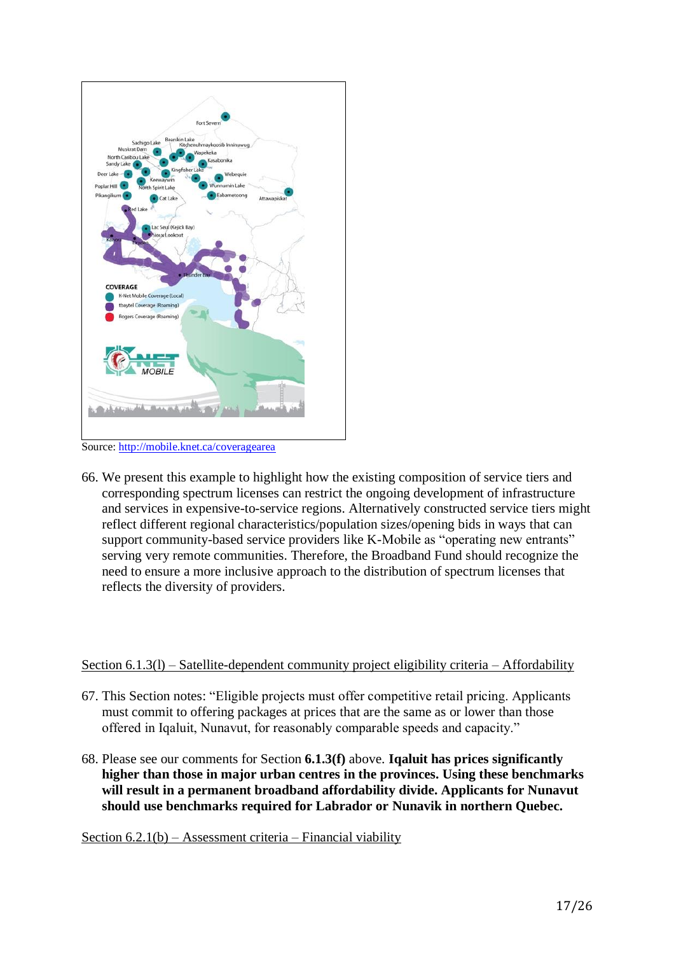

Source:<http://mobile.knet.ca/coveragearea>

66. We present this example to highlight how the existing composition of service tiers and corresponding spectrum licenses can restrict the ongoing development of infrastructure and services in expensive-to-service regions. Alternatively constructed service tiers might reflect different regional characteristics/population sizes/opening bids in ways that can support community-based service providers like K-Mobile as "operating new entrants" serving very remote communities. Therefore, the Broadband Fund should recognize the need to ensure a more inclusive approach to the distribution of spectrum licenses that reflects the diversity of providers.

# Section 6.1.3(l) – Satellite-dependent community project eligibility criteria – Affordability

- 67. This Section notes: "Eligible projects must offer competitive retail pricing. Applicants must commit to offering packages at prices that are the same as or lower than those offered in Iqaluit, Nunavut, for reasonably comparable speeds and capacity."
- 68. Please see our comments for Section **6.1.3(f)** above. **Iqaluit has prices significantly higher than those in major urban centres in the provinces. Using these benchmarks will result in a permanent broadband affordability divide. Applicants for Nunavut should use benchmarks required for Labrador or Nunavik in northern Quebec.**

Section  $6.2.1(b)$  – Assessment criteria – Financial viability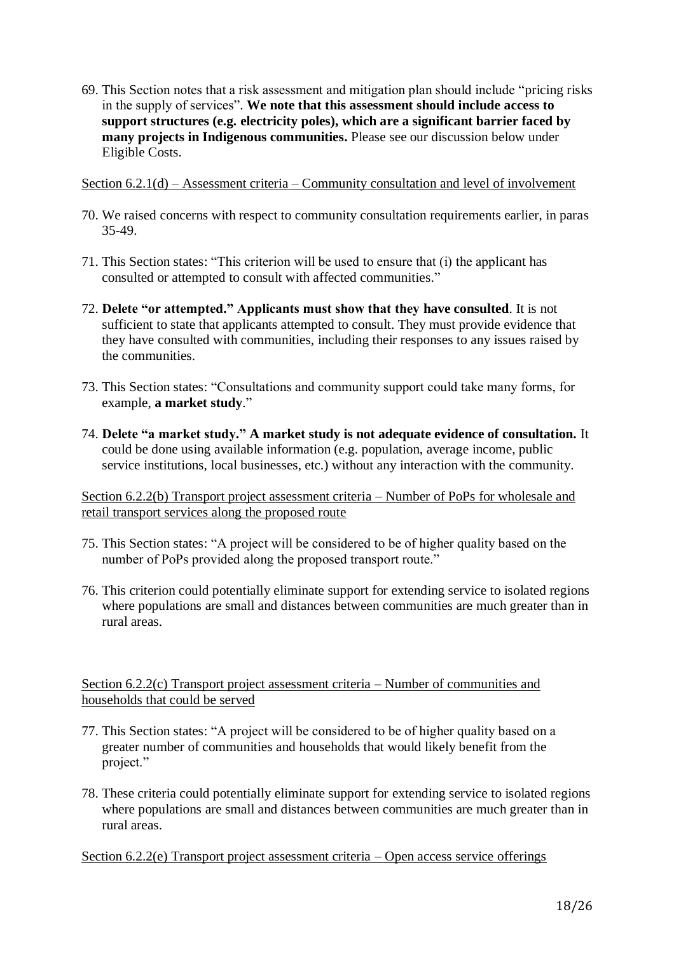69. This Section notes that a risk assessment and mitigation plan should include "pricing risks in the supply of services". **We note that this assessment should include access to support structures (e.g. electricity poles), which are a significant barrier faced by many projects in Indigenous communities.** Please see our discussion below under Eligible Costs.

Section 6.2.1(d) – Assessment criteria – Community consultation and level of involvement

- 70. We raised concerns with respect to community consultation requirements earlier, in paras 35-49.
- 71. This Section states: "This criterion will be used to ensure that (i) the applicant has consulted or attempted to consult with affected communities."
- 72. **Delete "or attempted." Applicants must show that they have consulted**. It is not sufficient to state that applicants attempted to consult. They must provide evidence that they have consulted with communities, including their responses to any issues raised by the communities.
- 73. This Section states: "Consultations and community support could take many forms, for example, **a market study**."
- 74. **Delete "a market study." A market study is not adequate evidence of consultation.** It could be done using available information (e.g. population, average income, public service institutions, local businesses, etc.) without any interaction with the community.

Section 6.2.2(b) Transport project assessment criteria – Number of PoPs for wholesale and retail transport services along the proposed route

- 75. This Section states: "A project will be considered to be of higher quality based on the number of PoPs provided along the proposed transport route."
- 76. This criterion could potentially eliminate support for extending service to isolated regions where populations are small and distances between communities are much greater than in rural areas.

Section 6.2.2(c) Transport project assessment criteria – Number of communities and households that could be served

- 77. This Section states: "A project will be considered to be of higher quality based on a greater number of communities and households that would likely benefit from the project."
- 78. These criteria could potentially eliminate support for extending service to isolated regions where populations are small and distances between communities are much greater than in rural areas.

Section 6.2.2(e) Transport project assessment criteria – Open access service offerings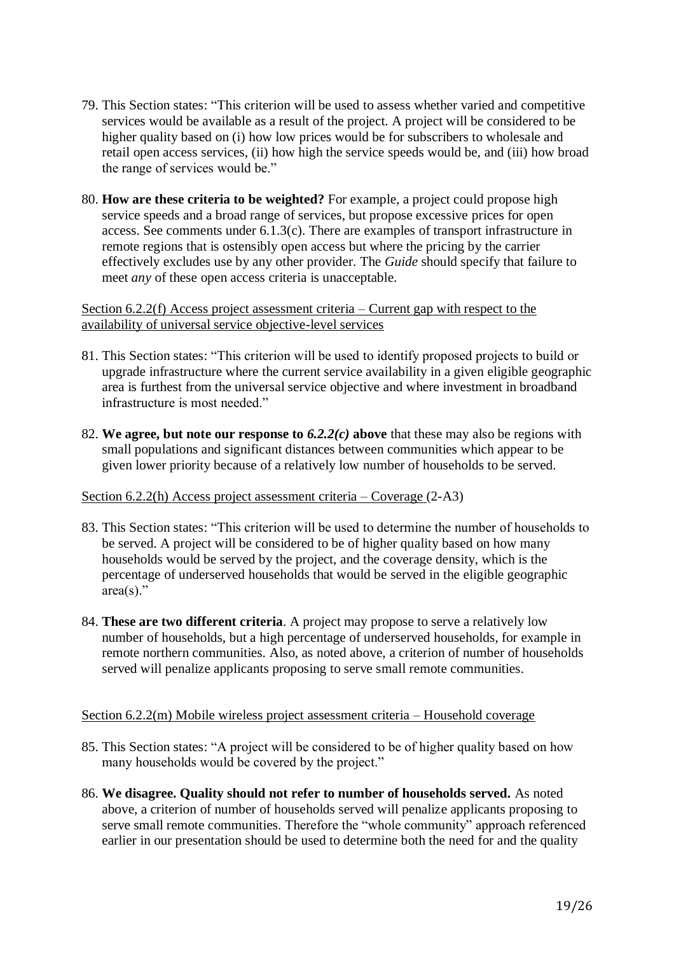- 79. This Section states: "This criterion will be used to assess whether varied and competitive services would be available as a result of the project. A project will be considered to be higher quality based on (i) how low prices would be for subscribers to wholesale and retail open access services, (ii) how high the service speeds would be, and (iii) how broad the range of services would be."
- 80. **How are these criteria to be weighted?** For example, a project could propose high service speeds and a broad range of services, but propose excessive prices for open access. See comments under 6.1.3(c). There are examples of transport infrastructure in remote regions that is ostensibly open access but where the pricing by the carrier effectively excludes use by any other provider. The *Guide* should specify that failure to meet *any* of these open access criteria is unacceptable.

#### Section 6.2.2(f) Access project assessment criteria – Current gap with respect to the availability of universal service objective-level services

- 81. This Section states: "This criterion will be used to identify proposed projects to build or upgrade infrastructure where the current service availability in a given eligible geographic area is furthest from the universal service objective and where investment in broadband infrastructure is most needed."
- 82. **We agree, but note our response to** *6.2.2(c)* **above** that these may also be regions with small populations and significant distances between communities which appear to be given lower priority because of a relatively low number of households to be served.

## Section 6.2.2(h) Access project assessment criteria – Coverage (2-A3)

- 83. This Section states: "This criterion will be used to determine the number of households to be served. A project will be considered to be of higher quality based on how many households would be served by the project, and the coverage density, which is the percentage of underserved households that would be served in the eligible geographic  $area(s)$ ."
- 84. **These are two different criteria**. A project may propose to serve a relatively low number of households, but a high percentage of underserved households, for example in remote northern communities. Also, as noted above, a criterion of number of households served will penalize applicants proposing to serve small remote communities.

#### Section 6.2.2(m) Mobile wireless project assessment criteria – Household coverage

- 85. This Section states: "A project will be considered to be of higher quality based on how many households would be covered by the project."
- 86. **We disagree. Quality should not refer to number of households served.** As noted above, a criterion of number of households served will penalize applicants proposing to serve small remote communities. Therefore the "whole community" approach referenced earlier in our presentation should be used to determine both the need for and the quality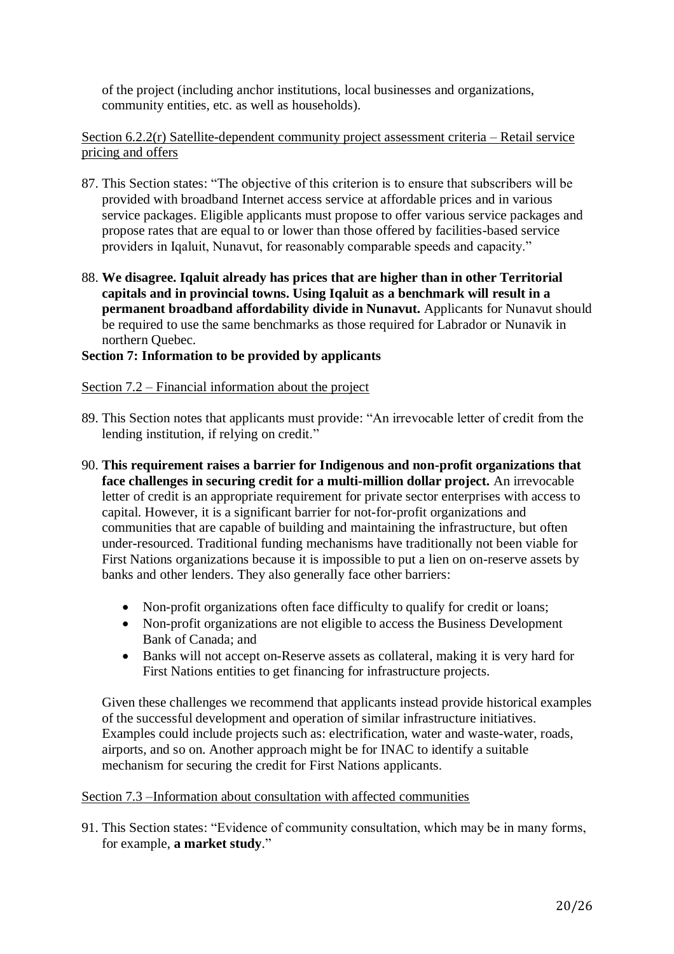of the project (including anchor institutions, local businesses and organizations, community entities, etc. as well as households).

## Section 6.2.2(r) Satellite-dependent community project assessment criteria – Retail service pricing and offers

- 87. This Section states: "The objective of this criterion is to ensure that subscribers will be provided with broadband Internet access service at affordable prices and in various service packages. Eligible applicants must propose to offer various service packages and propose rates that are equal to or lower than those offered by facilities-based service providers in Iqaluit, Nunavut, for reasonably comparable speeds and capacity."
- 88. **We disagree. Iqaluit already has prices that are higher than in other Territorial capitals and in provincial towns. Using Iqaluit as a benchmark will result in a permanent broadband affordability divide in Nunavut.** Applicants for Nunavut should be required to use the same benchmarks as those required for Labrador or Nunavik in northern Quebec.

## **Section 7: Information to be provided by applicants**

## Section 7.2 – Financial information about the project

- 89. This Section notes that applicants must provide: "An irrevocable letter of credit from the lending institution, if relying on credit."
- 90. **This requirement raises a barrier for Indigenous and non-profit organizations that face challenges in securing credit for a multi-million dollar project.** An irrevocable letter of credit is an appropriate requirement for private sector enterprises with access to capital. However, it is a significant barrier for not-for-profit organizations and communities that are capable of building and maintaining the infrastructure, but often under-resourced. Traditional funding mechanisms have traditionally not been viable for First Nations organizations because it is impossible to put a lien on on-reserve assets by banks and other lenders. They also generally face other barriers:
	- Non-profit organizations often face difficulty to qualify for credit or loans;
	- Non-profit organizations are not eligible to access the Business Development Bank of Canada; and
	- Banks will not accept on-Reserve assets as collateral, making it is very hard for First Nations entities to get financing for infrastructure projects.

Given these challenges we recommend that applicants instead provide historical examples of the successful development and operation of similar infrastructure initiatives. Examples could include projects such as: electrification, water and waste-water, roads, airports, and so on. Another approach might be for INAC to identify a suitable mechanism for securing the credit for First Nations applicants.

## Section 7.3 –Information about consultation with affected communities

91. This Section states: "Evidence of community consultation, which may be in many forms, for example, **a market study**."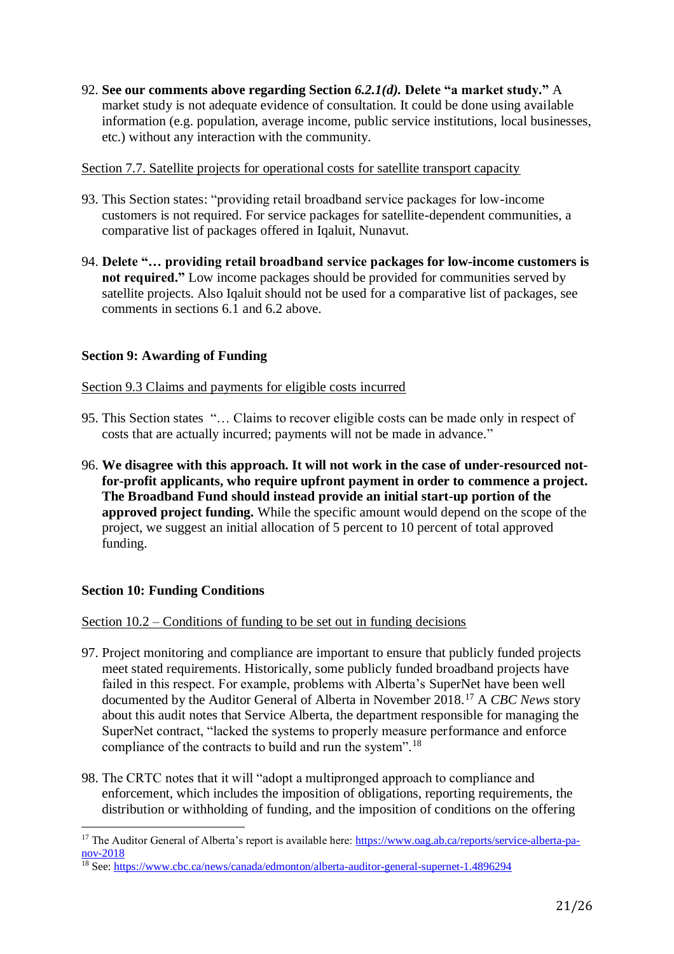92. **See our comments above regarding Section** *6.2.1(d).* **Delete "a market study."** A market study is not adequate evidence of consultation. It could be done using available information (e.g. population, average income, public service institutions, local businesses, etc.) without any interaction with the community.

#### Section 7.7. Satellite projects for operational costs for satellite transport capacity

- 93. This Section states: "providing retail broadband service packages for low-income customers is not required. For service packages for satellite-dependent communities, a comparative list of packages offered in Iqaluit, Nunavut.
- 94. **Delete "… providing retail broadband service packages for low-income customers is not required."** Low income packages should be provided for communities served by satellite projects. Also Iqaluit should not be used for a comparative list of packages, see comments in sections 6.1 and 6.2 above.

## **Section 9: Awarding of Funding**

#### Section 9.3 Claims and payments for eligible costs incurred

- 95. This Section states "… Claims to recover eligible costs can be made only in respect of costs that are actually incurred; payments will not be made in advance."
- 96. **We disagree with this approach. It will not work in the case of under-resourced notfor-profit applicants, who require upfront payment in order to commence a project. The Broadband Fund should instead provide an initial start-up portion of the approved project funding.** While the specific amount would depend on the scope of the project, we suggest an initial allocation of 5 percent to 10 percent of total approved funding.

## **Section 10: Funding Conditions**

 $\overline{\phantom{a}}$ 

#### Section 10.2 – Conditions of funding to be set out in funding decisions

- 97. Project monitoring and compliance are important to ensure that publicly funded projects meet stated requirements. Historically, some publicly funded broadband projects have failed in this respect. For example, problems with Alberta's SuperNet have been well documented by the Auditor General of Alberta in November 2018.<sup>17</sup> A *CBC News* story about this audit notes that Service Alberta, the department responsible for managing the SuperNet contract, "lacked the systems to properly measure performance and enforce compliance of the contracts to build and run the system".<sup>18</sup>
- 98. The CRTC notes that it will "adopt a multipronged approach to compliance and enforcement, which includes the imposition of obligations, reporting requirements, the distribution or withholding of funding, and the imposition of conditions on the offering

<sup>&</sup>lt;sup>17</sup> The Auditor General of Alberta's report is available here: [https://www.oag.ab.ca/reports/service-alberta-pa](https://www.oag.ab.ca/reports/service-alberta-pa-nov-2018)[nov-2018](https://www.oag.ab.ca/reports/service-alberta-pa-nov-2018)

 $\frac{18}{18}$  See[: https://www.cbc.ca/news/canada/edmonton/alberta-auditor-general-supernet-1.4896294](https://www.cbc.ca/news/canada/edmonton/alberta-auditor-general-supernet-1.4896294)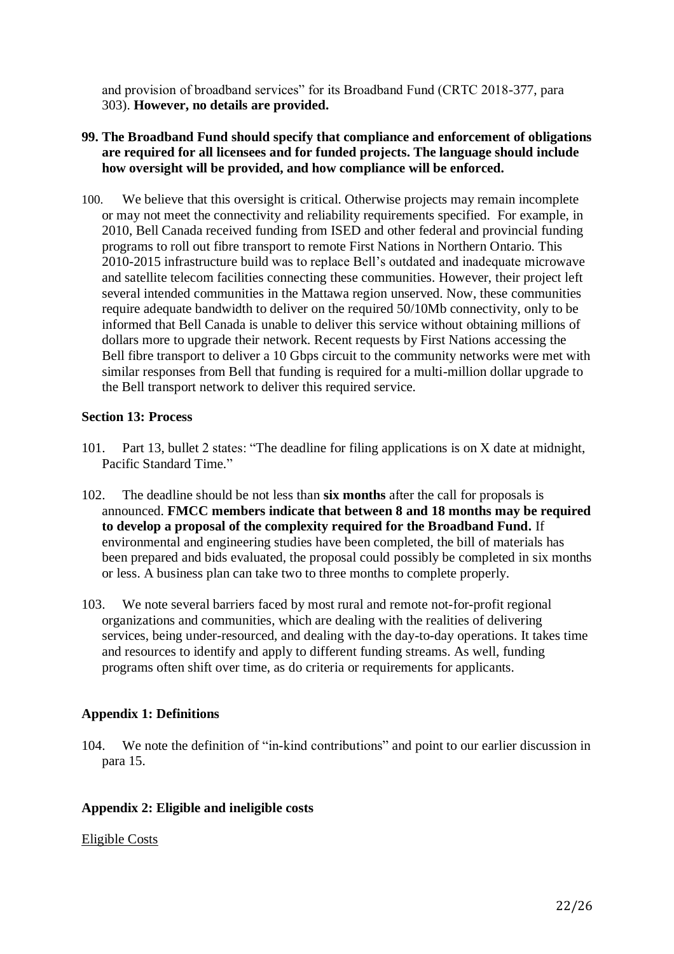and provision of broadband services" for its Broadband Fund (CRTC 2018-377, para 303). **However, no details are provided.**

- **99. The Broadband Fund should specify that compliance and enforcement of obligations are required for all licensees and for funded projects. The language should include how oversight will be provided, and how compliance will be enforced.**
- 100. We believe that this oversight is critical. Otherwise projects may remain incomplete or may not meet the connectivity and reliability requirements specified. For example, in 2010, Bell Canada received funding from ISED and other federal and provincial funding programs to roll out fibre transport to remote First Nations in Northern Ontario. This 2010-2015 infrastructure build was to replace Bell's outdated and inadequate microwave and satellite telecom facilities connecting these communities. However, their project left several intended communities in the Mattawa region unserved. Now, these communities require adequate bandwidth to deliver on the required 50/10Mb connectivity, only to be informed that Bell Canada is unable to deliver this service without obtaining millions of dollars more to upgrade their network. Recent requests by First Nations accessing the Bell fibre transport to deliver a 10 Gbps circuit to the community networks were met with similar responses from Bell that funding is required for a multi-million dollar upgrade to the Bell transport network to deliver this required service.

#### **Section 13: Process**

- 101. Part 13, bullet 2 states: "The deadline for filing applications is on X date at midnight, Pacific Standard Time."
- 102. The deadline should be not less than **six months** after the call for proposals is announced. **FMCC members indicate that between 8 and 18 months may be required to develop a proposal of the complexity required for the Broadband Fund.** If environmental and engineering studies have been completed, the bill of materials has been prepared and bids evaluated, the proposal could possibly be completed in six months or less. A business plan can take two to three months to complete properly.
- 103. We note several barriers faced by most rural and remote not-for-profit regional organizations and communities, which are dealing with the realities of delivering services, being under-resourced, and dealing with the day-to-day operations. It takes time and resources to identify and apply to different funding streams. As well, funding programs often shift over time, as do criteria or requirements for applicants.

#### **Appendix 1: Definitions**

104. We note the definition of "in-kind contributions" and point to our earlier discussion in para 15.

#### **Appendix 2: Eligible and ineligible costs**

#### Eligible Costs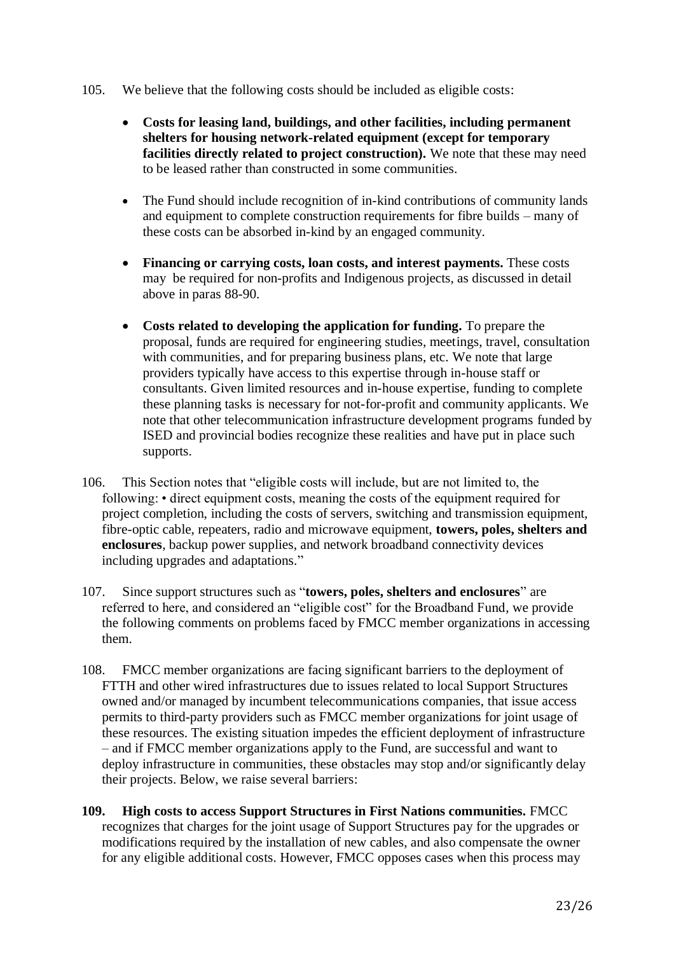- 105. We believe that the following costs should be included as eligible costs:
	- **Costs for leasing land, buildings, and other facilities, including permanent shelters for housing network-related equipment (except for temporary facilities directly related to project construction).** We note that these may need to be leased rather than constructed in some communities.
	- The Fund should include recognition of in-kind contributions of community lands and equipment to complete construction requirements for fibre builds – many of these costs can be absorbed in-kind by an engaged community.
	- **Financing or carrying costs, loan costs, and interest payments.** These costs may be required for non-profits and Indigenous projects, as discussed in detail above in paras 88-90.
	- **Costs related to developing the application for funding.** To prepare the proposal, funds are required for engineering studies, meetings, travel, consultation with communities, and for preparing business plans, etc. We note that large providers typically have access to this expertise through in-house staff or consultants. Given limited resources and in-house expertise, funding to complete these planning tasks is necessary for not-for-profit and community applicants. We note that other telecommunication infrastructure development programs funded by ISED and provincial bodies recognize these realities and have put in place such supports.
- 106. This Section notes that "eligible costs will include, but are not limited to, the following: • direct equipment costs, meaning the costs of the equipment required for project completion, including the costs of servers, switching and transmission equipment, fibre-optic cable, repeaters, radio and microwave equipment, **towers, poles, shelters and enclosures**, backup power supplies, and network broadband connectivity devices including upgrades and adaptations."
- 107. Since support structures such as "**towers, poles, shelters and enclosures**" are referred to here, and considered an "eligible cost" for the Broadband Fund, we provide the following comments on problems faced by FMCC member organizations in accessing them.
- 108. FMCC member organizations are facing significant barriers to the deployment of FTTH and other wired infrastructures due to issues related to local Support Structures owned and/or managed by incumbent telecommunications companies, that issue access permits to third-party providers such as FMCC member organizations for joint usage of these resources. The existing situation impedes the efficient deployment of infrastructure – and if FMCC member organizations apply to the Fund, are successful and want to deploy infrastructure in communities, these obstacles may stop and/or significantly delay their projects. Below, we raise several barriers:
- **109. High costs to access Support Structures in First Nations communities.** FMCC recognizes that charges for the joint usage of Support Structures pay for the upgrades or modifications required by the installation of new cables, and also compensate the owner for any eligible additional costs. However, FMCC opposes cases when this process may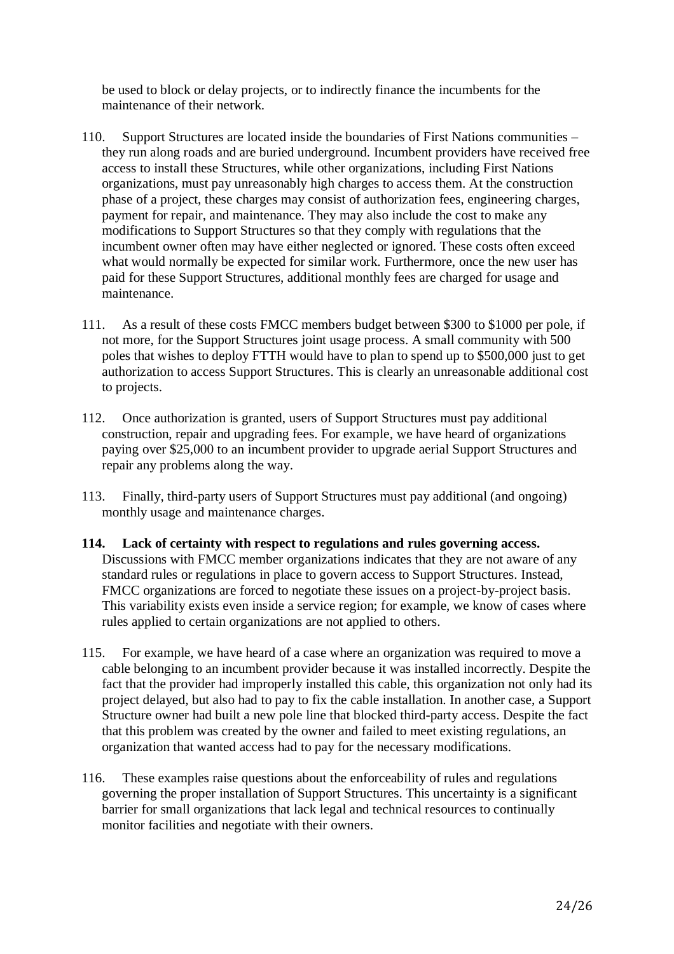be used to block or delay projects, or to indirectly finance the incumbents for the maintenance of their network.

- 110. Support Structures are located inside the boundaries of First Nations communities they run along roads and are buried underground. Incumbent providers have received free access to install these Structures, while other organizations, including First Nations organizations, must pay unreasonably high charges to access them. At the construction phase of a project, these charges may consist of authorization fees, engineering charges, payment for repair, and maintenance. They may also include the cost to make any modifications to Support Structures so that they comply with regulations that the incumbent owner often may have either neglected or ignored. These costs often exceed what would normally be expected for similar work. Furthermore, once the new user has paid for these Support Structures, additional monthly fees are charged for usage and maintenance.
- 111. As a result of these costs FMCC members budget between \$300 to \$1000 per pole, if not more, for the Support Structures joint usage process. A small community with 500 poles that wishes to deploy FTTH would have to plan to spend up to \$500,000 just to get authorization to access Support Structures. This is clearly an unreasonable additional cost to projects.
- 112. Once authorization is granted, users of Support Structures must pay additional construction, repair and upgrading fees. For example, we have heard of organizations paying over \$25,000 to an incumbent provider to upgrade aerial Support Structures and repair any problems along the way.
- 113. Finally, third-party users of Support Structures must pay additional (and ongoing) monthly usage and maintenance charges.
- **114. Lack of certainty with respect to regulations and rules governing access.**  Discussions with FMCC member organizations indicates that they are not aware of any standard rules or regulations in place to govern access to Support Structures. Instead, FMCC organizations are forced to negotiate these issues on a project-by-project basis. This variability exists even inside a service region; for example, we know of cases where rules applied to certain organizations are not applied to others.
- 115. For example, we have heard of a case where an organization was required to move a cable belonging to an incumbent provider because it was installed incorrectly. Despite the fact that the provider had improperly installed this cable, this organization not only had its project delayed, but also had to pay to fix the cable installation. In another case, a Support Structure owner had built a new pole line that blocked third-party access. Despite the fact that this problem was created by the owner and failed to meet existing regulations, an organization that wanted access had to pay for the necessary modifications.
- 116. These examples raise questions about the enforceability of rules and regulations governing the proper installation of Support Structures. This uncertainty is a significant barrier for small organizations that lack legal and technical resources to continually monitor facilities and negotiate with their owners.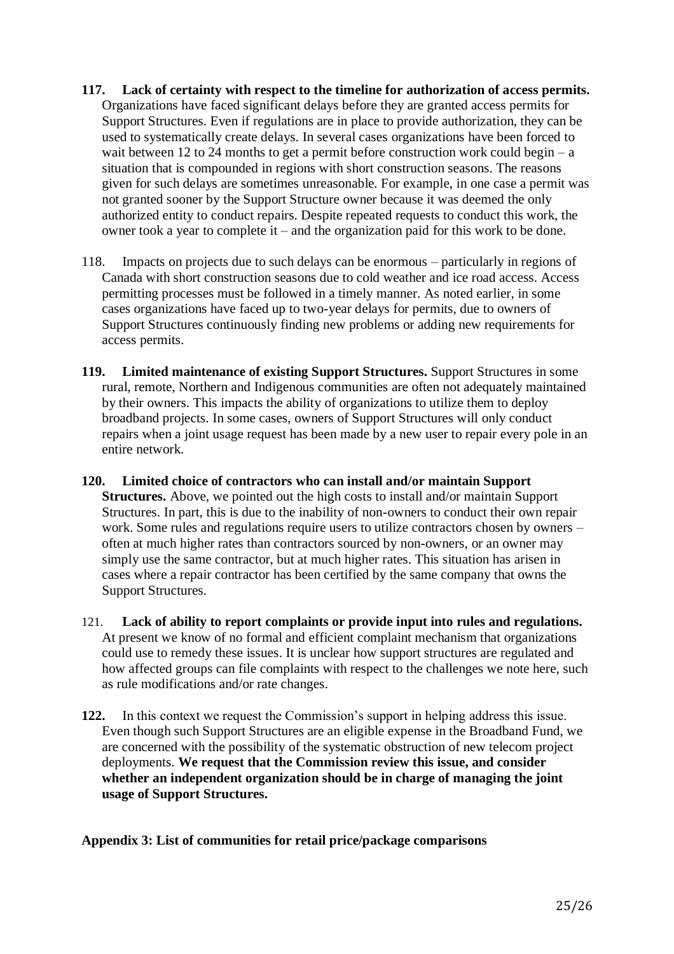- **117. Lack of certainty with respect to the timeline for authorization of access permits.**  Organizations have faced significant delays before they are granted access permits for Support Structures. Even if regulations are in place to provide authorization, they can be used to systematically create delays. In several cases organizations have been forced to wait between 12 to 24 months to get a permit before construction work could begin – a situation that is compounded in regions with short construction seasons. The reasons given for such delays are sometimes unreasonable. For example, in one case a permit was not granted sooner by the Support Structure owner because it was deemed the only authorized entity to conduct repairs. Despite repeated requests to conduct this work, the owner took a year to complete it – and the organization paid for this work to be done.
- 118. Impacts on projects due to such delays can be enormous particularly in regions of Canada with short construction seasons due to cold weather and ice road access. Access permitting processes must be followed in a timely manner. As noted earlier, in some cases organizations have faced up to two-year delays for permits, due to owners of Support Structures continuously finding new problems or adding new requirements for access permits.
- **119. Limited maintenance of existing Support Structures.** Support Structures in some rural, remote, Northern and Indigenous communities are often not adequately maintained by their owners. This impacts the ability of organizations to utilize them to deploy broadband projects. In some cases, owners of Support Structures will only conduct repairs when a joint usage request has been made by a new user to repair every pole in an entire network.
- **120. Limited choice of contractors who can install and/or maintain Support Structures.** Above, we pointed out the high costs to install and/or maintain Support Structures. In part, this is due to the inability of non-owners to conduct their own repair work. Some rules and regulations require users to utilize contractors chosen by owners – often at much higher rates than contractors sourced by non-owners, or an owner may simply use the same contractor, but at much higher rates. This situation has arisen in cases where a repair contractor has been certified by the same company that owns the Support Structures.
- 121. **Lack of ability to report complaints or provide input into rules and regulations.**  At present we know of no formal and efficient complaint mechanism that organizations could use to remedy these issues. It is unclear how support structures are regulated and how affected groups can file complaints with respect to the challenges we note here, such as rule modifications and/or rate changes.
- **122.** In this context we request the Commission's support in helping address this issue. Even though such Support Structures are an eligible expense in the Broadband Fund, we are concerned with the possibility of the systematic obstruction of new telecom project deployments. **We request that the Commission review this issue, and consider whether an independent organization should be in charge of managing the joint usage of Support Structures.**

## **Appendix 3: List of communities for retail price/package comparisons**